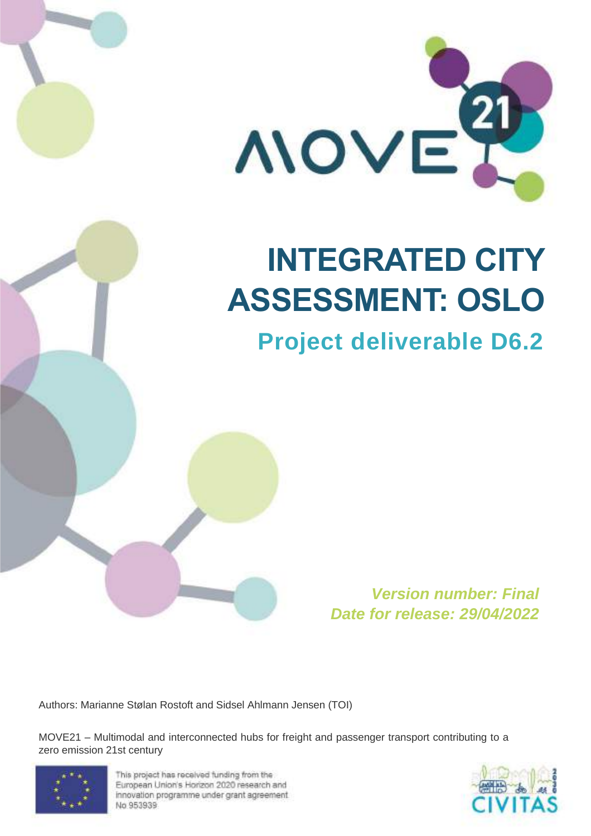

# **INTEGRATED CITY ASSESSMENT: OSLO**

## **Project deliverable D6.2**

**Version number: Final Date for release: 29/04/2022**

Authors: Marianne Stølan Rostoft and Sidsel Ahlmann Jensen (TOI)

MOVE21 – Multimodal and interconnected hubs for freight and passenger transport contributing to a zero emission 21st century



This project has received funding from the European Union's Horizon 2020 research and innovation programme under grant agreement No.953939

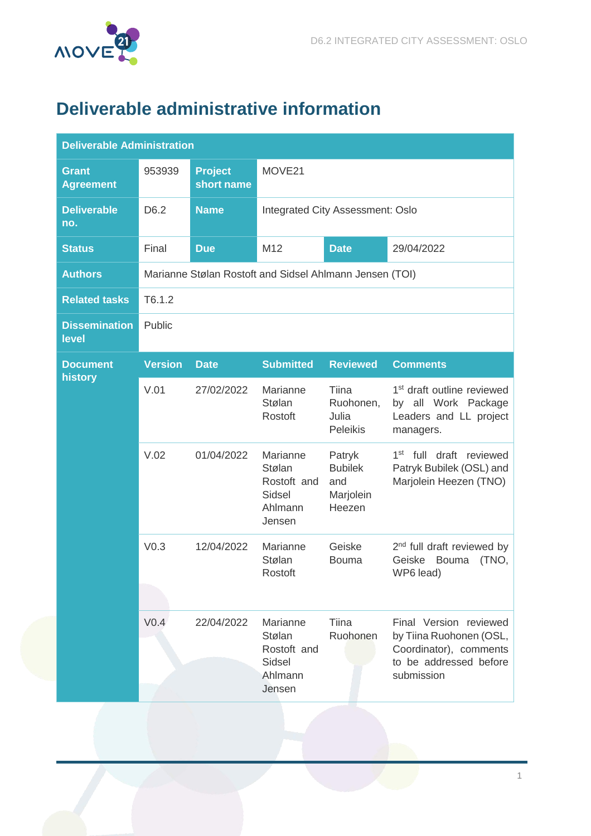

### <span id="page-1-0"></span>**Deliverable administrative information**

| <b>Deliverable Administration</b> |                  |                                                         |                                                                  |                                                        |                                                                                                                     |  |  |  |
|-----------------------------------|------------------|---------------------------------------------------------|------------------------------------------------------------------|--------------------------------------------------------|---------------------------------------------------------------------------------------------------------------------|--|--|--|
| <b>Grant</b><br><b>Agreement</b>  | 953939           | <b>Project</b><br>short name                            | MOVE21                                                           |                                                        |                                                                                                                     |  |  |  |
| <b>Deliverable</b><br>no.         | D6.2             | <b>Name</b>                                             |                                                                  | Integrated City Assessment: Oslo                       |                                                                                                                     |  |  |  |
| <b>Status</b>                     | Final            | <b>Due</b>                                              | M <sub>12</sub>                                                  | <b>Date</b>                                            | 29/04/2022                                                                                                          |  |  |  |
| <b>Authors</b>                    |                  | Marianne Stølan Rostoft and Sidsel Ahlmann Jensen (TOI) |                                                                  |                                                        |                                                                                                                     |  |  |  |
| <b>Related tasks</b>              | T6.1.2           |                                                         |                                                                  |                                                        |                                                                                                                     |  |  |  |
| <b>Dissemination</b><br>level     | Public           |                                                         |                                                                  |                                                        |                                                                                                                     |  |  |  |
| <b>Document</b><br>history        | <b>Version</b>   | <b>Date</b>                                             | <b>Submitted</b>                                                 | <b>Reviewed</b>                                        | <b>Comments</b>                                                                                                     |  |  |  |
|                                   | V.01             | 27/02/2022                                              | Marianne<br>Stølan<br>Rostoft                                    | Tiina<br>Ruohonen,<br>Julia<br>Peleikis                | 1 <sup>st</sup> draft outline reviewed<br>by all Work Package<br>Leaders and LL project<br>managers.                |  |  |  |
|                                   | V.02             | 01/04/2022                                              | Marianne<br>Stølan<br>Rostoft and<br>Sidsel<br>Ahlmann<br>Jensen | Patryk<br><b>Bubilek</b><br>and<br>Marjolein<br>Heezen | 1 <sup>st</sup> full draft reviewed<br>Patryk Bubilek (OSL) and<br>Marjolein Heezen (TNO)                           |  |  |  |
|                                   | V <sub>0.3</sub> | 12/04/2022                                              | Marianne<br>Stølan<br>Rostoft                                    | Geiske<br><b>Bouma</b>                                 | 2 <sup>nd</sup> full draft reviewed by<br>(TNO,<br>Geiske<br><b>Bouma</b><br>WP6 lead)                              |  |  |  |
|                                   | V <sub>0.4</sub> | 22/04/2022                                              | Marianne<br>Stølan<br>Rostoft and<br>Sidsel<br>Ahlmann<br>Jensen | Tiina<br>Ruohonen                                      | Final Version reviewed<br>by Tiina Ruohonen (OSL,<br>Coordinator), comments<br>to be addressed before<br>submission |  |  |  |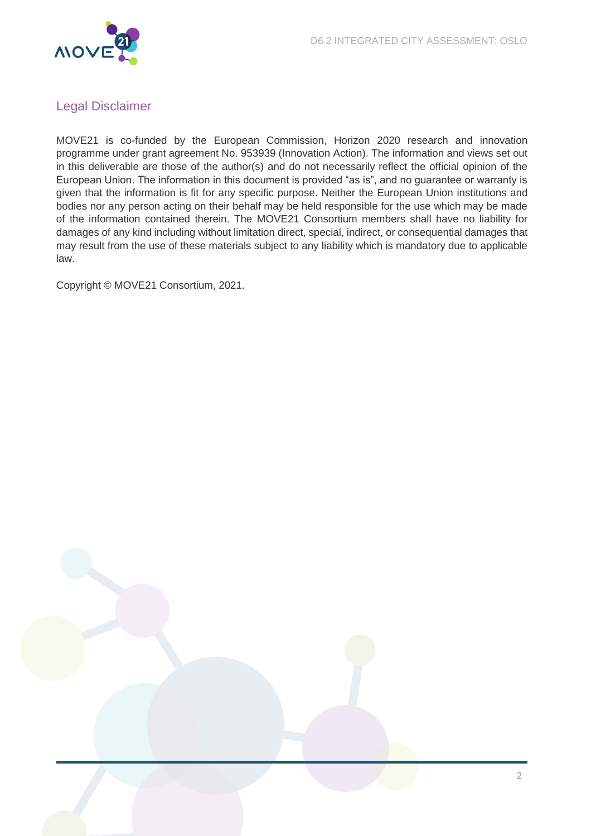

#### <span id="page-2-0"></span>Legal Disclaimer

MOVE21 is co-funded by the European Commission, Horizon 2020 research and innovation programme under grant agreement No. 953939 (Innovation Action). The information and views set out in this deliverable are those of the author(s) and do not necessarily reflect the official opinion of the European Union. The information in this document is provided "as is", and no guarantee or warranty is given that the information is fit for any specific purpose. Neither the European Union institutions and bodies nor any person acting on their behalf may be held responsible for the use which may be made of the information contained therein. The MOVE21 Consortium members shall have no liability for damages of any kind including without limitation direct, special, indirect, or consequential damages that may result from the use of these materials subject to any liability which is mandatory due to applicable law.

Copyright © MOVE21 Consortium, 2021.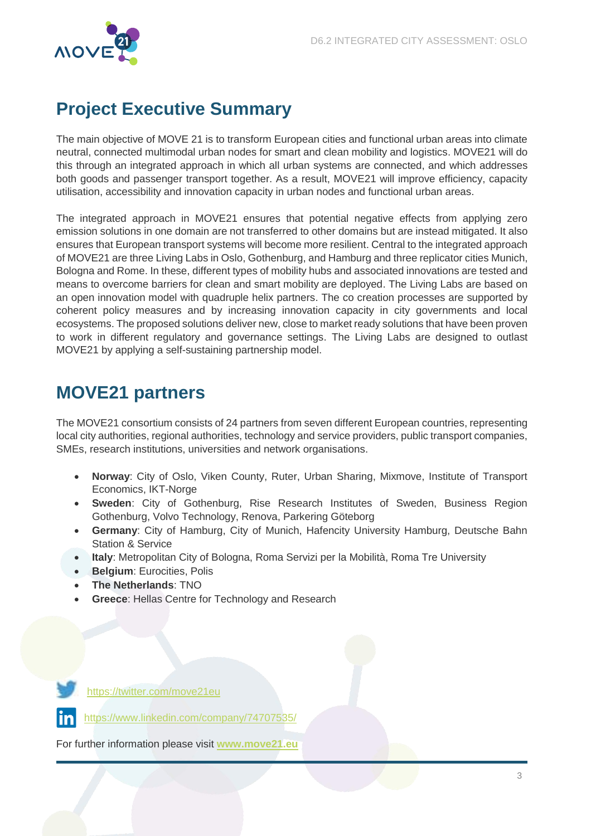

### <span id="page-3-0"></span>**Project Executive Summary**

The main objective of MOVE 21 is to transform European cities and functional urban areas into climate neutral, connected multimodal urban nodes for smart and clean mobility and logistics. MOVE21 will do this through an integrated approach in which all urban systems are connected, and which addresses both goods and passenger transport together. As a result, MOVE21 will improve efficiency, capacity utilisation, accessibility and innovation capacity in urban nodes and functional urban areas.

The integrated approach in MOVE21 ensures that potential negative effects from applying zero emission solutions in one domain are not transferred to other domains but are instead mitigated. It also ensures that European transport systems will become more resilient. Central to the integrated approach of MOVE21 are three Living Labs in Oslo, Gothenburg, and Hamburg and three replicator cities Munich, Bologna and Rome. In these, different types of mobility hubs and associated innovations are tested and means to overcome barriers for clean and smart mobility are deployed. The Living Labs are based on an open innovation model with quadruple helix partners. The co creation processes are supported by coherent policy measures and by increasing innovation capacity in city governments and local ecosystems. The proposed solutions deliver new, close to market ready solutions that have been proven to work in different regulatory and governance settings. The Living Labs are designed to outlast MOVE21 by applying a self-sustaining partnership model.

### <span id="page-3-1"></span>**MOVE21 partners**

The MOVE21 consortium consists of 24 partners from seven different European countries, representing local city authorities, regional authorities, technology and service providers, public transport companies, SMEs, research institutions, universities and network organisations.

- **Norway**: City of Oslo, Viken County, Ruter, Urban Sharing, Mixmove, Institute of Transport Economics, IKT-Norge
- **Sweden**: City of Gothenburg, Rise Research Institutes of Sweden, Business Region Gothenburg, Volvo Technology, Renova, Parkering Göteborg
- **Germany**: City of Hamburg, City of Munich, Hafencity University Hamburg, Deutsche Bahn Station & Service
- **Italy**: Metropolitan City of Bologna, Roma Servizi per la Mobilità, Roma Tre University
- **Belgium: Eurocities, Polis**
- **The Netherlands**: TNO
- **Greece**: Hellas Centre for Technology and Research



<https://twitter.com/move21eu>

<https://www.linkedin.com/company/74707535/>

For further information please visit **[www.move21.eu](http://www.move21.eu/)**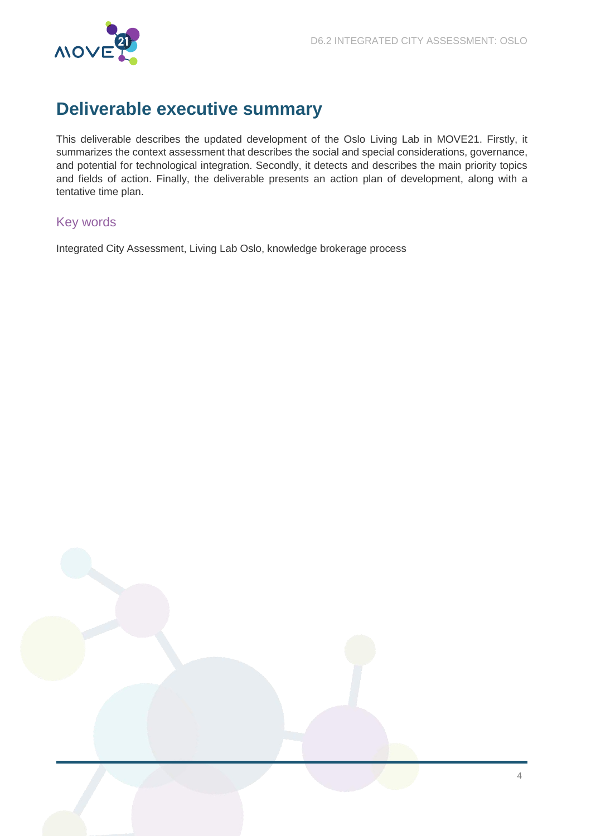

### <span id="page-4-0"></span>**Deliverable executive summary**

This deliverable describes the updated development of the Oslo Living Lab in MOVE21. Firstly, it summarizes the context assessment that describes the social and special considerations, governance, and potential for technological integration. Secondly, it detects and describes the main priority topics and fields of action. Finally, the deliverable presents an action plan of development, along with a tentative time plan.

#### <span id="page-4-1"></span>Key words

Integrated City Assessment, Living Lab Oslo, knowledge brokerage process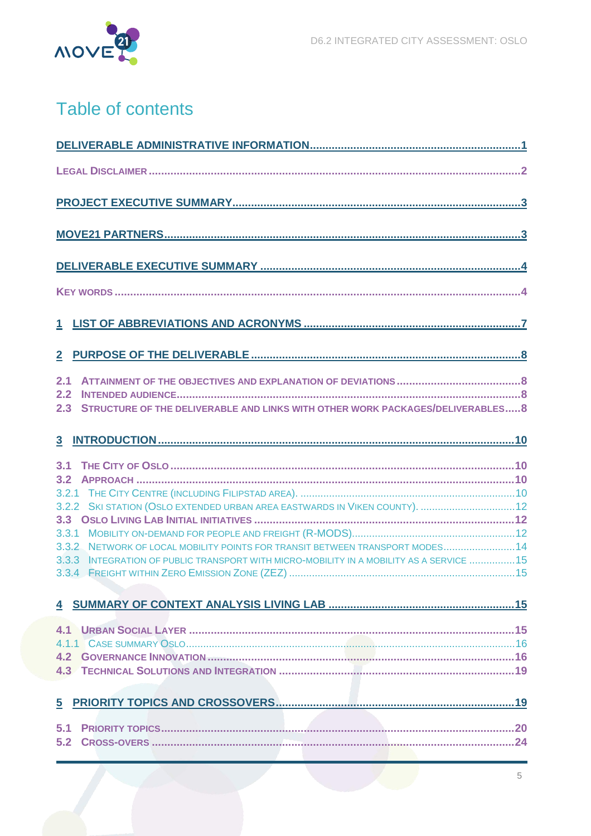

### Table of contents

| 2.1<br>2.2<br>STRUCTURE OF THE DELIVERABLE AND LINKS WITH OTHER WORK PACKAGES/DELIVERABLES 8<br>2.3                                                                                    |
|----------------------------------------------------------------------------------------------------------------------------------------------------------------------------------------|
|                                                                                                                                                                                        |
| 3.1<br>3.2<br>3.3.2 NETWORK OF LOCAL MOBILITY POINTS FOR TRANSIT BETWEEN TRANSPORT MODES14<br>3.3.3 INTEGRATION OF PUBLIC TRANSPORT WITH MICRO-MOBILITY IN A MOBILITY AS A SERVICE  15 |
|                                                                                                                                                                                        |
| 4.1<br>4.2                                                                                                                                                                             |
| 5                                                                                                                                                                                      |
| 5.1<br>5.2                                                                                                                                                                             |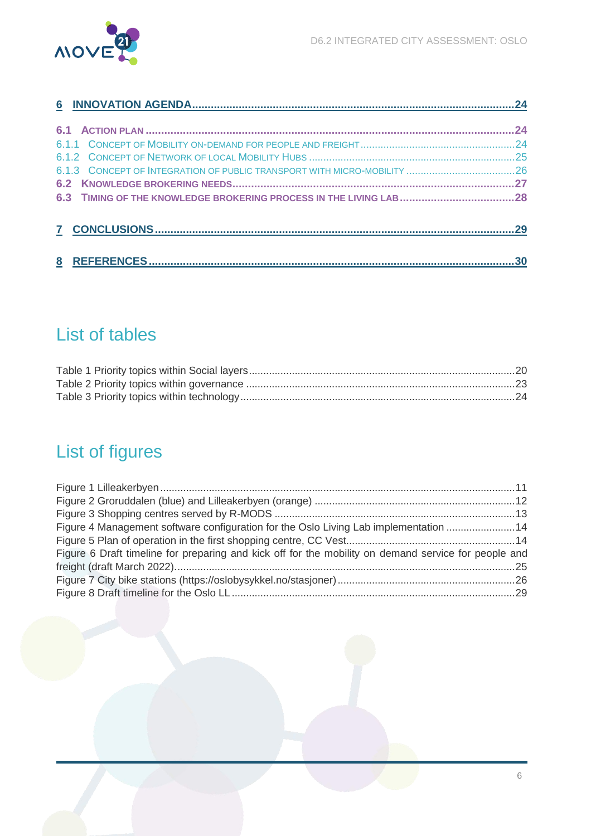### List of tables

### List of figures

| Figure 4 Management software configuration for the Oslo Living Lab implementation 14                 |  |
|------------------------------------------------------------------------------------------------------|--|
|                                                                                                      |  |
| Figure 6 Draft timeline for preparing and kick off for the mobility on demand service for people and |  |
|                                                                                                      |  |
|                                                                                                      |  |
|                                                                                                      |  |
|                                                                                                      |  |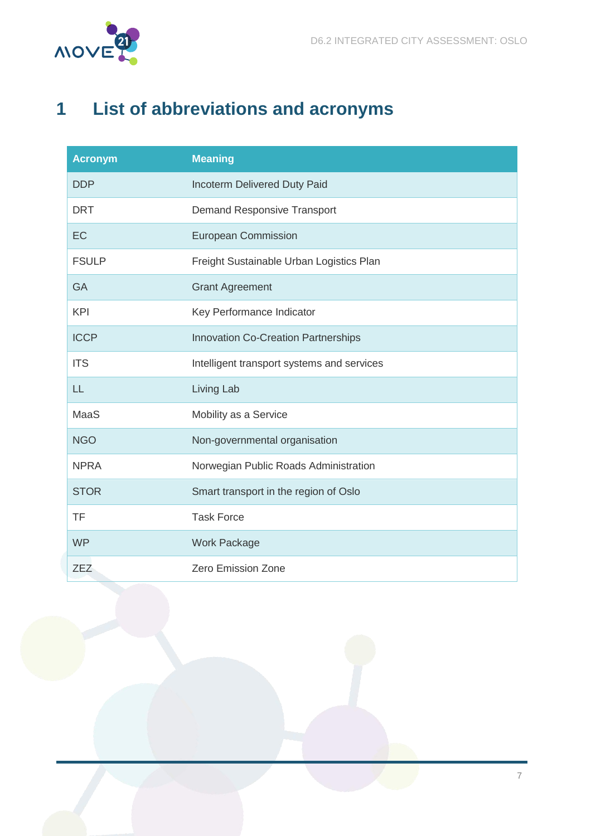

### <span id="page-7-0"></span>**1 List of abbreviations and acronyms**

| <b>Acronym</b> | <b>Meaning</b>                             |
|----------------|--------------------------------------------|
| <b>DDP</b>     | Incoterm Delivered Duty Paid               |
| <b>DRT</b>     | <b>Demand Responsive Transport</b>         |
| EC             | <b>European Commission</b>                 |
| <b>FSULP</b>   | Freight Sustainable Urban Logistics Plan   |
| <b>GA</b>      | <b>Grant Agreement</b>                     |
| <b>KPI</b>     | Key Performance Indicator                  |
| <b>ICCP</b>    | <b>Innovation Co-Creation Partnerships</b> |
| <b>ITS</b>     | Intelligent transport systems and services |
| LL             | Living Lab                                 |
| MaaS           | Mobility as a Service                      |
| <b>NGO</b>     | Non-governmental organisation              |
| <b>NPRA</b>    | Norwegian Public Roads Administration      |
| <b>STOR</b>    | Smart transport in the region of Oslo      |
| <b>TF</b>      | <b>Task Force</b>                          |
| <b>WP</b>      | <b>Work Package</b>                        |
| <b>ZEZ</b>     | <b>Zero Emission Zone</b>                  |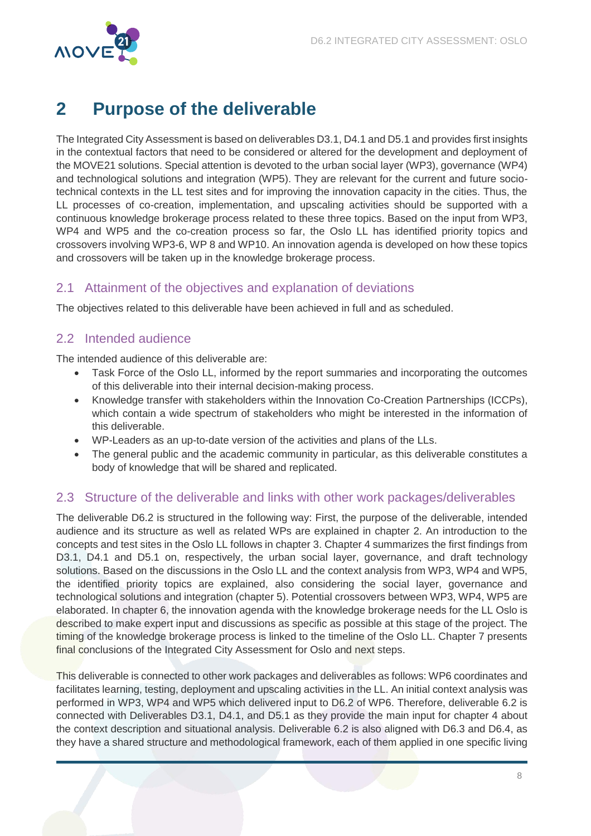

### <span id="page-8-0"></span>**2 Purpose of the deliverable**

The Integrated City Assessment is based on deliverables D3.1, D4.1 and D5.1 and provides first insights in the contextual factors that need to be considered or altered for the development and deployment of the MOVE21 solutions. Special attention is devoted to the urban social layer (WP3), governance (WP4) and technological solutions and integration (WP5). They are relevant for the current and future sociotechnical contexts in the LL test sites and for improving the innovation capacity in the cities. Thus, the LL processes of co-creation, implementation, and upscaling activities should be supported with a continuous knowledge brokerage process related to these three topics. Based on the input from WP3, WP4 and WP5 and the co-creation process so far, the Oslo LL has identified priority topics and crossovers involving WP3-6, WP 8 and WP10. An innovation agenda is developed on how these topics and crossovers will be taken up in the knowledge brokerage process.

#### <span id="page-8-1"></span>2.1 Attainment of the objectives and explanation of deviations

The objectives related to this deliverable have been achieved in full and as scheduled.

#### <span id="page-8-2"></span>2.2 Intended audience

The intended audience of this deliverable are:

- Task Force of the Oslo LL, informed by the report summaries and incorporating the outcomes of this deliverable into their internal decision-making process.
- Knowledge transfer with stakeholders within the Innovation Co-Creation Partnerships (ICCPs), which contain a wide spectrum of stakeholders who might be interested in the information of this deliverable.
- WP-Leaders as an up-to-date version of the activities and plans of the LLs.
- The general public and the academic community in particular, as this deliverable constitutes a body of knowledge that will be shared and replicated.

#### <span id="page-8-3"></span>2.3 Structure of the deliverable and links with other work packages/deliverables

The deliverable D6.2 is structured in the following way: First, the purpose of the deliverable, intended audience and its structure as well as related WPs are explained in chapter 2. An introduction to the concepts and test sites in the Oslo LL follows in chapter 3. Chapter 4 summarizes the first findings from D3.1, D4.1 and D5.1 on, respectively, the urban social layer, governance, and draft technology solutions. Based on the discussions in the Oslo LL and the context analysis from WP3, WP4 and WP5, the identified priority topics are explained, also considering the social layer, governance and technological solutions and integration (chapter 5). Potential crossovers between WP3, WP4, WP5 are elaborated. In chapter 6, the innovation agenda with the knowledge brokerage needs for the LL Oslo is described to make expert input and discussions as specific as possible at this stage of the project. The timing of the knowledge brokerage process is linked to the timeline of the Oslo LL. Chapter 7 presents final conclusions of the Integrated City Assessment for Oslo and next steps.

This deliverable is connected to other work packages and deliverables as follows: WP6 coordinates and facilitates learning, testing, deployment and upscaling activities in the LL. An initial context analysis was performed in WP3, WP4 and WP5 which delivered input to D6.2 of WP6. Therefore, deliverable 6.2 is connected with Deliverables D3.1, D4.1, and D5.1 as they provide the main input for chapter 4 about the context description and situational analysis. Deliverable 6.2 is also aligned with D6.3 and D6.4, as they have a shared structure and methodological framework, each of them applied in one specific living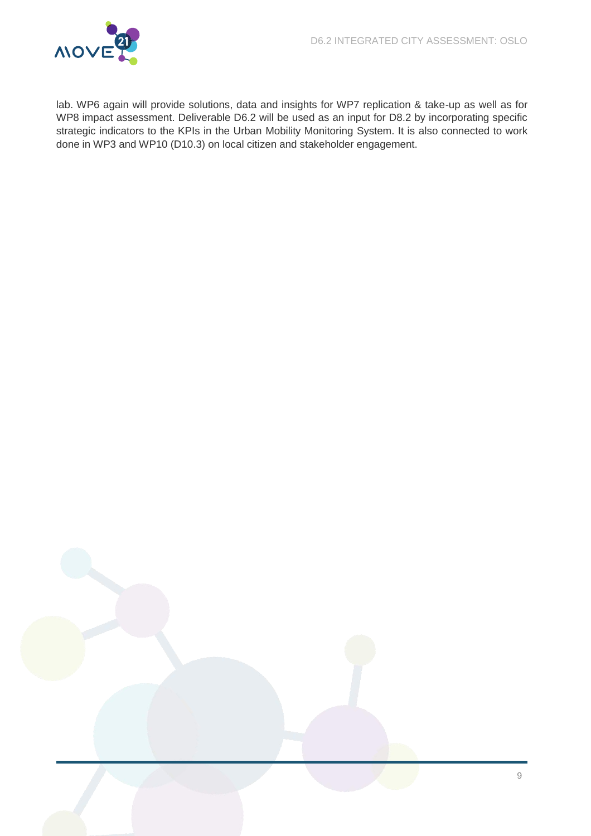

lab. WP6 again will provide solutions, data and insights for WP7 replication & take-up as well as for WP8 impact assessment. Deliverable D6.2 will be used as an input for D8.2 by incorporating specific strategic indicators to the KPIs in the Urban Mobility Monitoring System. It is also connected to work done in WP3 and WP10 (D10.3) on local citizen and stakeholder engagement.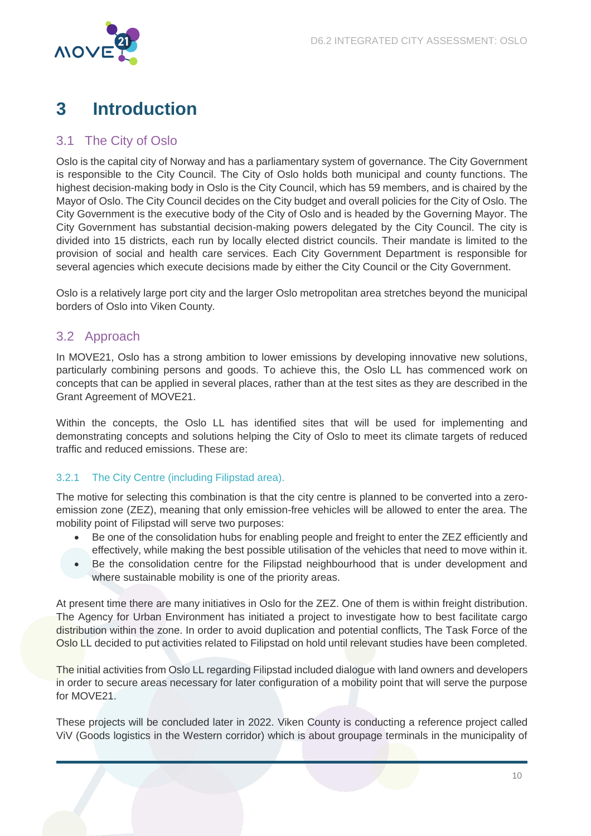

### <span id="page-10-0"></span>**3 Introduction**

#### <span id="page-10-1"></span>3.1 The City of Oslo

Oslo is the capital city of Norway and has a parliamentary system of governance. The City Government is responsible to the City Council. The City of Oslo holds both municipal and county functions. The highest decision-making body in Oslo is the City Council, which has 59 members, and is chaired by the Mayor of Oslo. The City Council decides on the City budget and overall policies for the City of Oslo. The City Government is the executive body of the City of Oslo and is headed by the Governing Mayor. The City Government has substantial decision-making powers delegated by the City Council. The city is divided into 15 districts, each run by locally elected district councils. Their mandate is limited to the provision of social and health care services. Each City Government Department is responsible for several agencies which execute decisions made by either the City Council or the City Government.

Oslo is a relatively large port city and the larger Oslo metropolitan area stretches beyond the municipal borders of Oslo into Viken County.

#### <span id="page-10-2"></span>3.2 Approach

In MOVE21, Oslo has a strong ambition to lower emissions by developing innovative new solutions, particularly combining persons and goods. To achieve this, the Oslo LL has commenced work on concepts that can be applied in several places, rather than at the test sites as they are described in the Grant Agreement of MOVE21.

Within the concepts, the Oslo LL has identified sites that will be used for implementing and demonstrating concepts and solutions helping the City of Oslo to meet its climate targets of reduced traffic and reduced emissions. These are:

#### <span id="page-10-3"></span>3.2.1 The City Centre (including Filipstad area).

The motive for selecting this combination is that the city centre is planned to be converted into a zeroemission zone (ZEZ), meaning that only emission-free vehicles will be allowed to enter the area. The mobility point of Filipstad will serve two purposes:

- Be one of the consolidation hubs for enabling people and freight to enter the ZEZ efficiently and effectively, while making the best possible utilisation of the vehicles that need to move within it.
- Be the consolidation centre for the Filipstad neighbourhood that is under development and where sustainable mobility is one of the priority areas.

At present time there are many initiatives in Oslo for the ZEZ. One of them is within freight distribution. The Agency for Urban Environment has initiated a project to investigate how to best facilitate cargo distribution within the zone. In order to avoid duplication and potential conflicts, The Task Force of the Oslo LL decided to put activities related to Filipstad on hold until relevant studies have been completed.

The initial activities from Oslo LL regarding Filipstad included dialogue with land owners and developers in order to secure areas necessary for later configuration of a mobility point that will serve the purpose for MOVE21.

These projects will be concluded later in 2022. Viken County is conducting a reference project called ViV (Goods logistics in the Western corridor) which is about groupage terminals in the municipality of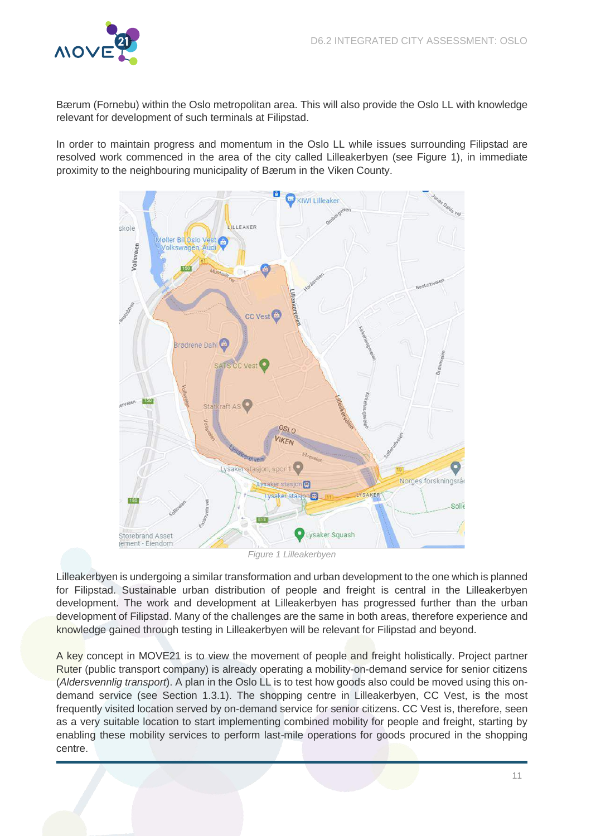

Bærum (Fornebu) within the Oslo metropolitan area. This will also provide the Oslo LL with knowledge relevant for development of such terminals at Filipstad.

In order to maintain progress and momentum in the Oslo LL while issues surrounding Filipstad are resolved work commenced in the area of the city called Lilleakerbyen (see Figure 1), in immediate proximity to the neighbouring municipality of Bærum in the Viken County.



Figure 1 Lilleakerbyen

<span id="page-11-0"></span>Lilleakerbyen is undergoing a similar transformation and urban development to the one which is planned for Filipstad. Sustainable urban distribution of people and freight is central in the Lilleakerbyen development. The work and development at Lilleakerbyen has progressed further than the urban development of Filipstad. Many of the challenges are the same in both areas, therefore experience and knowledge gained through testing in Lilleakerbyen will be relevant for Filipstad and beyond.

A key concept in MOVE21 is to view the movement of people and freight holistically. Project partner Ruter (public transport company) is already operating a mobility-on-demand service for senior citizens (Aldersvennlig transport). A plan in the Oslo LL is to test how goods also could be moved using this ondemand service (see Section 1.3.1). The shopping centre in Lilleakerbyen, CC Vest, is the most frequently visited location served by on-demand service for senior citizens. CC Vest is, therefore, seen as a very suitable location to start implementing combined mobility for people and freight, starting by enabling these mobility services to perform last-mile operations for goods procured in the shopping centre.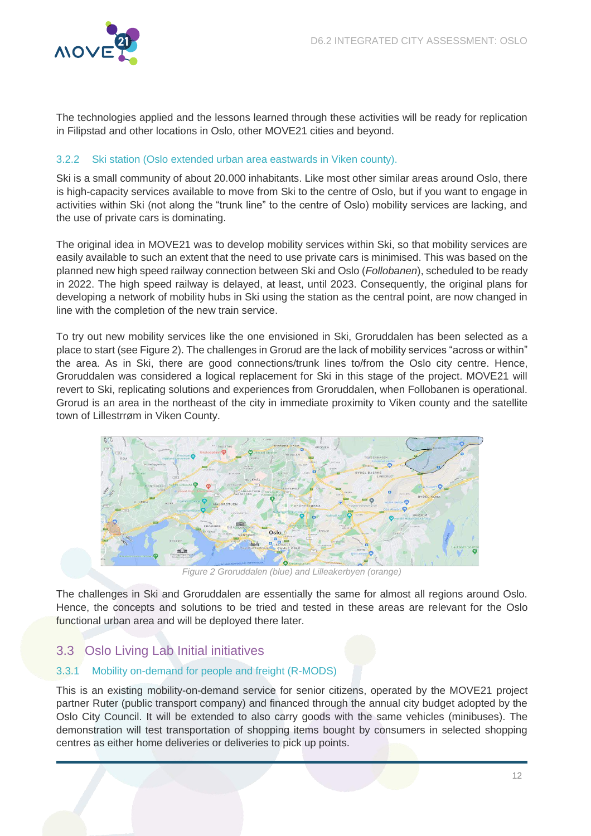

The technologies applied and the lessons learned through these activities will be ready for replication in Filipstad and other locations in Oslo, other MOVE21 cities and beyond.

#### <span id="page-12-0"></span>3.2.2 Ski station (Oslo extended urban area eastwards in Viken county).

Ski is a small community of about 20.000 inhabitants. Like most other similar areas around Oslo, there is high-capacity services available to move from Ski to the centre of Oslo, but if you want to engage in activities within Ski (not along the "trunk line" to the centre of Oslo) mobility services are lacking, and the use of private cars is dominating.

The original idea in MOVE21 was to develop mobility services within Ski, so that mobility services are easily available to such an extent that the need to use private cars is minimised. This was based on the planned new high speed railway connection between Ski and Oslo (Follobanen), scheduled to be ready in 2022. The high speed railway is delayed, at least, until 2023. Consequently, the original plans for developing a network of mobility hubs in Ski using the station as the central point, are now changed in line with the completion of the new train service.

To try out new mobility services like the one envisioned in Ski, Groruddalen has been selected as a place to start (see Figure 2). The challenges in Grorud are the lack of mobility services "across or within" the area. As in Ski, there are good connections/trunk lines to/from the Oslo city centre. Hence, Groruddalen was considered a logical replacement for Ski in this stage of the project. MOVE21 will revert to Ski, replicating solutions and experiences from Groruddalen, when Follobanen is operational. Grorud is an area in the northeast of the city in immediate proximity to Viken county and the satellite town of Lillestrrøm in Viken County.



Figure 2 Groruddalen (blue) and Lilleakerbyen (orange)

<span id="page-12-3"></span>The challenges in Ski and Groruddalen are essentially the same for almost all regions around Oslo. Hence, the concepts and solutions to be tried and tested in these areas are relevant for the Oslo functional urban area and will be deployed there later.

### <span id="page-12-1"></span>3.3 Oslo Living Lab Initial initiatives

#### <span id="page-12-2"></span>3.3.1 Mobility on-demand for people and freight (R-MODS)

This is an existing mobility-on-demand service for senior citizens, operated by the MOVE21 project partner Ruter (public transport company) and financed through the annual city budget adopted by the Oslo City Council. It will be extended to also carry goods with the same vehicles (minibuses). The demonstration will test transportation of shopping items bought by consumers in selected shopping centres as either home deliveries or deliveries to pick up points.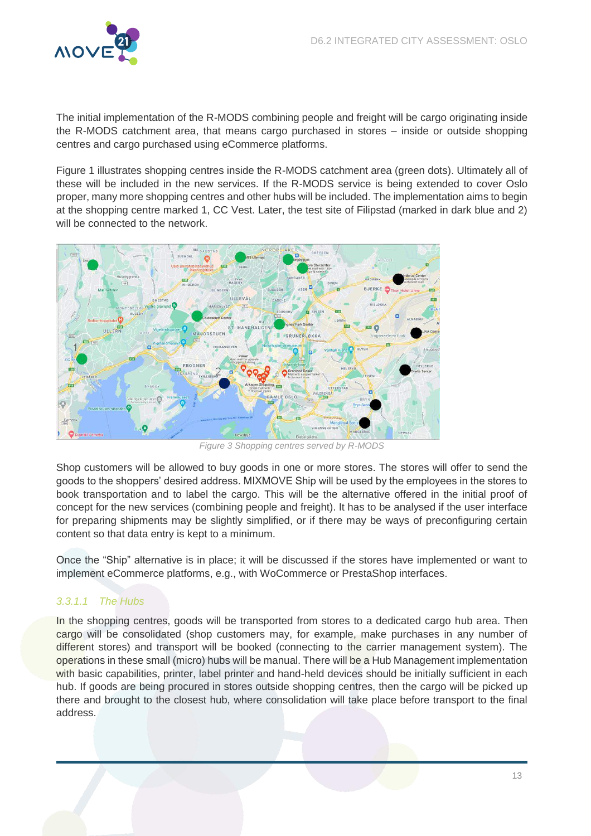

The initial implementation of the R-MODS combining people and freight will be cargo originating inside the R-MODS catchment area, that means cargo purchased in stores – inside or outside shopping centres and cargo purchased using eCommerce platforms.

Figure 1 illustrates shopping centres inside the R-MODS catchment area (green dots). Ultimately all of these will be included in the new services. If the R-MODS service is being extended to cover Oslo proper, many more shopping centres and other hubs will be included. The implementation aims to begin at the shopping centre marked 1, CC Vest. Later, the test site of Filipstad (marked in dark blue and 2) will be connected to the network.



Figure 3 Shopping centres served by R-MODS

<span id="page-13-0"></span>Shop customers will be allowed to buy goods in one or more stores. The stores will offer to send the goods to the shoppers' desired address. MIXMOVE Ship will be used by the employees in the stores to book transportation and to label the cargo. This will be the alternative offered in the initial proof of concept for the new services (combining people and freight). It has to be analysed if the user interface for preparing shipments may be slightly simplified, or if there may be ways of preconfiguring certain content so that data entry is kept to a minimum.

Once the "Ship" alternative is in place; it will be discussed if the stores have implemented or want to implement eCommerce platforms, e.g., with WoCommerce or PrestaShop interfaces.

#### 3.3.1.1 The Hubs

In the shopping centres, goods will be transported from stores to a dedicated cargo hub area. Then cargo will be consolidated (shop customers may, for example, make purchases in any number of different stores) and transport will be booked (connecting to the carrier management system). The operations in these small (micro) hubs will be manual. There will be a Hub Management implementation with basic capabilities, printer, label printer and hand-held devices should be initially sufficient in each hub. If goods are being procured in stores outside shopping centres, then the cargo will be picked up there and brought to the closest hub, where consolidation will take place before transport to the final address.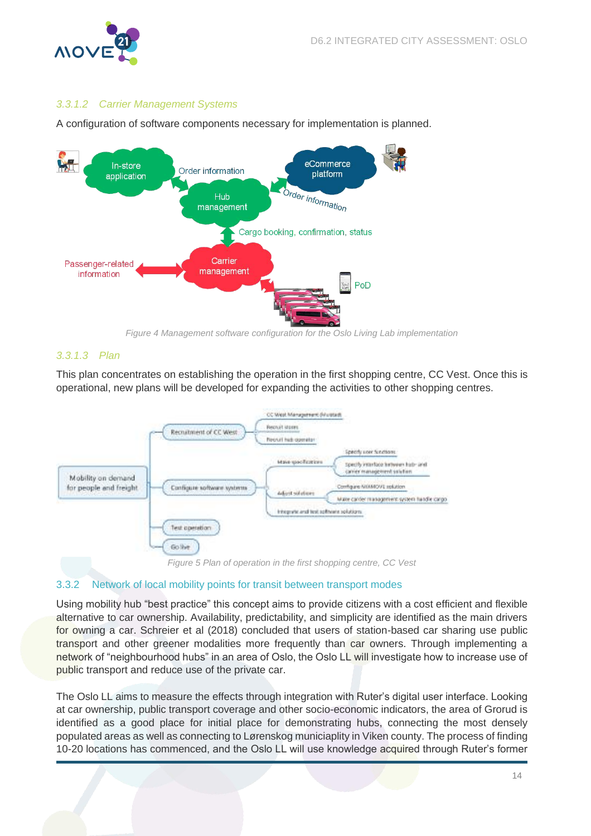

#### 3.3.1.2 Carrier Management Systems

A configuration of software components necessary for implementation is planned.



Figure 4 Management software configuration for the Oslo Living Lab implementation

#### <span id="page-14-1"></span>3.3.1.3 Plan

This plan concentrates on establishing the operation in the first shopping centre, CC Vest. Once this is operational, new plans will be developed for expanding the activities to other shopping centres.



#### <span id="page-14-2"></span><span id="page-14-0"></span>3.3.2 Network of local mobility points for transit between transport modes

Using mobility hub "best practice" this concept aims to provide citizens with a cost efficient and flexible alternative to car ownership. Availability, predictability, and simplicity are identified as the main drivers for owning a car. Schreier et al (2018) concluded that users of station-based car sharing use public transport and other greener modalities more frequently than car owners. Through implementing a network of "neighbourhood hubs" in an area of Oslo, the Oslo LL will investigate how to increase use of public transport and reduce use of the private car.

The Oslo LL aims to measure the effects through integration with Ruter's digital user interface. Looking at car ownership, public transport coverage and other socio-economic indicators, the area of Grorud is identified as a good place for initial place for demonstrating hubs, connecting the most densely populated areas as well as connecting to Lørenskog municiaplity in Viken county. The process of finding 10-20 locations has commenced, and the Oslo LL will use knowledge acquired through Ruter's former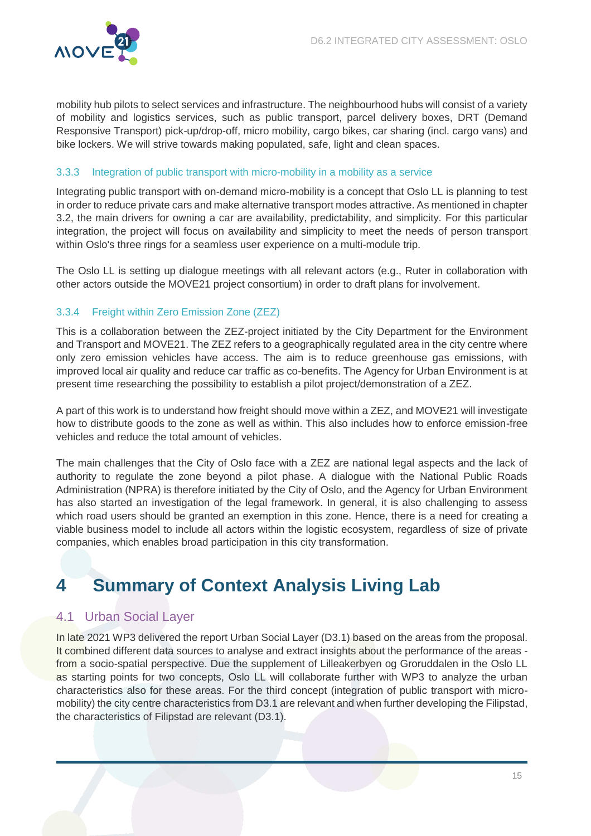

mobility hub pilots to select services and infrastructure. The neighbourhood hubs will consist of a variety of mobility and logistics services, such as public transport, parcel delivery boxes, DRT (Demand Responsive Transport) pick-up/drop-off, micro mobility, cargo bikes, car sharing (incl. cargo vans) and bike lockers. We will strive towards making populated, safe, light and clean spaces.

#### <span id="page-15-0"></span>3.3.3 Integration of public transport with micro-mobility in a mobility as a service

Integrating public transport with on-demand micro-mobility is a concept that Oslo LL is planning to test in order to reduce private cars and make alternative transport modes attractive. As mentioned in chapter 3.2, the main drivers for owning a car are availability, predictability, and simplicity. For this particular integration, the project will focus on availability and simplicity to meet the needs of person transport within Oslo's three rings for a seamless user experience on a multi-module trip.

The Oslo LL is setting up dialogue meetings with all relevant actors (e.g., Ruter in collaboration with other actors outside the MOVE21 project consortium) in order to draft plans for involvement.

#### <span id="page-15-1"></span>3.3.4 Freight within Zero Emission Zone (ZEZ)

This is a collaboration between the ZEZ-project initiated by the City Department for the Environment and Transport and MOVE21. The ZEZ refers to a geographically regulated area in the city centre where only zero emission vehicles have access. The aim is to reduce greenhouse gas emissions, with improved local air quality and reduce car traffic as co-benefits. The Agency for Urban Environment is at present time researching the possibility to establish a pilot project/demonstration of a ZEZ.

A part of this work is to understand how freight should move within a ZEZ, and MOVE21 will investigate how to distribute goods to the zone as well as within. This also includes how to enforce emission-free vehicles and reduce the total amount of vehicles.

The main challenges that the City of Oslo face with a ZEZ are national legal aspects and the lack of authority to regulate the zone beyond a pilot phase. A dialogue with the National Public Roads Administration (NPRA) is therefore initiated by the City of Oslo, and the Agency for Urban Environment has also started an investigation of the legal framework. In general, it is also challenging to assess which road users should be granted an exemption in this zone. Hence, there is a need for creating a viable business model to include all actors within the logistic ecosystem, regardless of size of private companies, which enables broad participation in this city transformation.

### <span id="page-15-2"></span>**4 Summary of Context Analysis Living Lab**

#### <span id="page-15-3"></span>4.1 Urban Social Layer

In late 2021 WP3 delivered the report Urban Social Layer (D3.1) based on the areas from the proposal. It combined different data sources to analyse and extract insights about the performance of the areas from a socio-spatial perspective. Due the supplement of Lilleakerbyen og Groruddalen in the Oslo LL as starting points for two concepts, Oslo LL will collaborate further with WP3 to analyze the urban characteristics also for these areas. For the third concept (integration of public transport with micromobility) the city centre characteristics from D3.1 are relevant and when further developing the Filipstad, the characteristics of Filipstad are relevant (D3.1).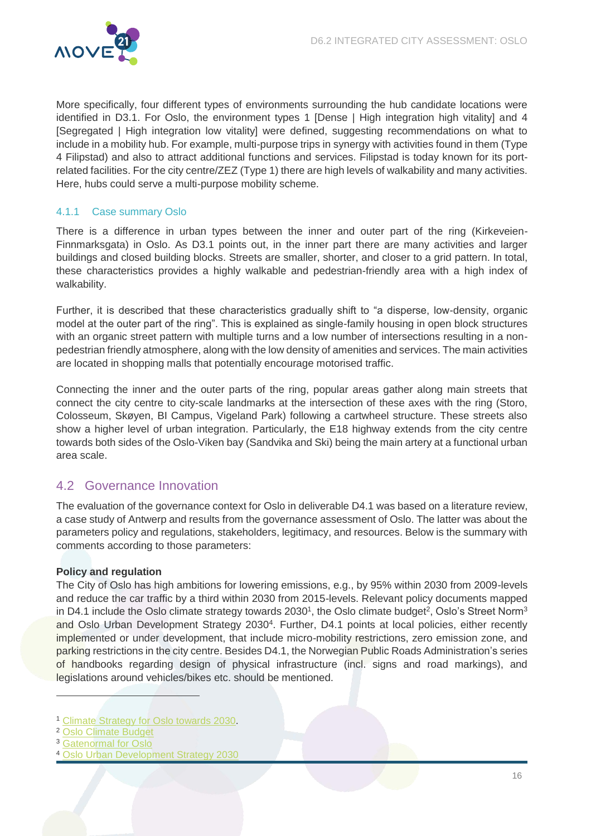

More specifically, four different types of environments surrounding the hub candidate locations were identified in D3.1. For Oslo, the environment types 1 [Dense | High integration high vitality] and 4 [Segregated | High integration low vitality] were defined, suggesting recommendations on what to include in a mobility hub. For example, multi-purpose trips in synergy with activities found in them (Type 4 Filipstad) and also to attract additional functions and services. Filipstad is today known for its portrelated facilities. For the city centre/ZEZ (Type 1) there are high levels of walkability and many activities. Here, hubs could serve a multi-purpose mobility scheme.

#### <span id="page-16-0"></span>4.1.1 Case summary Oslo

There is a difference in urban types between the inner and outer part of the ring (Kirkeveien-Finnmarksgata) in Oslo. As D3.1 points out, in the inner part there are many activities and larger buildings and closed building blocks. Streets are smaller, shorter, and closer to a grid pattern. In total, these characteristics provides a highly walkable and pedestrian-friendly area with a high index of walkability.

Further, it is described that these characteristics gradually shift to "a disperse, low-density, organic model at the outer part of the ring". This is explained as single-family housing in open block structures with an organic street pattern with multiple turns and a low number of intersections resulting in a nonpedestrian friendly atmosphere, along with the low density of amenities and services. The main activities are located in shopping malls that potentially encourage motorised traffic.

Connecting the inner and the outer parts of the ring, popular areas gather along main streets that connect the city centre to city-scale landmarks at the intersection of these axes with the ring (Storo, Colosseum, Skøyen, BI Campus, Vigeland Park) following a cartwheel structure. These streets also show a higher level of urban integration. Particularly, the E18 highway extends from the city centre towards both sides of the Oslo-Viken bay (Sandvika and Ski) being the main artery at a functional urban area scale.

#### <span id="page-16-1"></span>4.2 Governance Innovation

The evaluation of the governance context for Oslo in deliverable D4.1 was based on a literature review, a case study of Antwerp and results from the governance assessment of Oslo. The latter was about the parameters policy and regulations, stakeholders, legitimacy, and resources. Below is the summary with comments according to those parameters:

#### **Policy and regulation**

The City of Oslo has high ambitions for lowering emissions, e.g., by 95% within 2030 from 2009-levels and reduce the car traffic by a third within 2030 from 2015-levels. Relevant policy documents mapped in D4.1 include the Oslo climate strategy towards 2030<sup>1</sup>, the Oslo climate budget<sup>2</sup>, Oslo's Street Norm<sup>3</sup> and Oslo Urban Development Strategy 2030<sup>4</sup>. Further, D4.1 points at local policies, either recently implemented or under development, that include micro-mobility restrictions, zero emission zone, and parking restrictions in the city centre. Besides D4.1, the Norwegian Public Roads Administration's series of handbooks regarding design of physical infrastructure (incl. signs and road markings), and legislations around vehicles/bikes etc. should be mentioned.

 $\overline{a}$ 

<sup>1</sup> [Climate Strategy for Oslo towards 2030.](https://www.klimaoslo.no/wp-content/uploads/sites/88/2020/09/Klimastrategi2030-Kortversjon-ENG_2608_enkeltside.pdf)

<sup>2</sup> [Oslo Climate Budget](https://www.klimaoslo.no/collection/klimabudsjett-for-2022-oslo/#:~:text=Oslo%20kommune%20har%20utviklet%20et,(sak%20109%2F20).)

<sup>3</sup> [Gatenormal for Oslo](https://www.oslo.kommune.no/getfile.php/134032-1611566813/Tjenester%20og%20tilbud/Plan%2C%20bygg%20og%20eiendom/Byggesaksveiledere%2C%20normer%20og%20skjemaer/Gatenormal%20og%20normark/Gate-%20og%20veinormaler/Gatenormal%20for%20Osl)

<sup>4</sup> [Oslo Urban Development Strategy 2030](https://www.oslo.kommune.no/getfile.php/13322921-1572596200/Tjenester%20og%20tilbud/Politikk%20og%20administrasjon/Politikk/Kommuneplan/Vedtatt%20kommuneplan%202018/Kommuneplan%20Oslo%20-%20oppslag.pdf)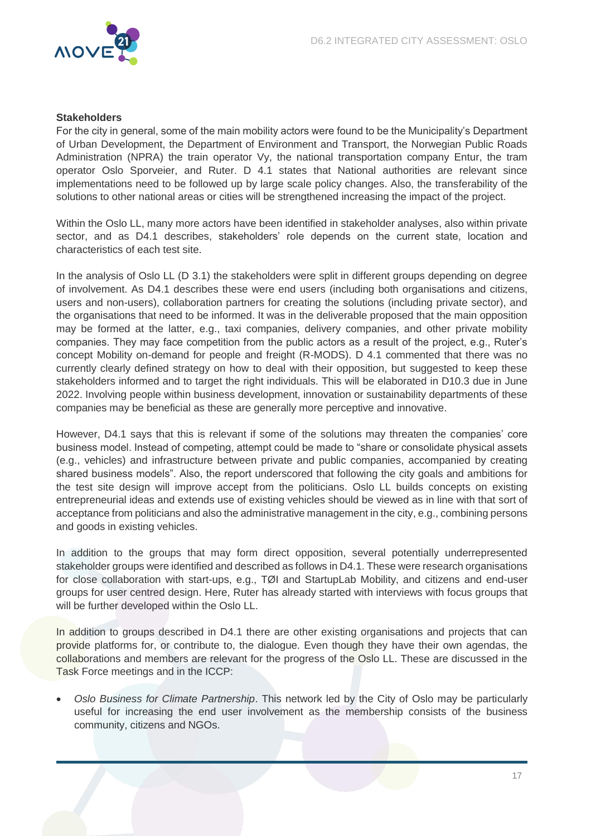

#### **Stakeholders**

For the city in general, some of the main mobility actors were found to be the Municipality's Department of Urban Development, the Department of Environment and Transport, the Norwegian Public Roads Administration (NPRA) the train operator Vy, the national transportation company Entur, the tram operator Oslo Sporveier, and Ruter. D 4.1 states that National authorities are relevant since implementations need to be followed up by large scale policy changes. Also, the transferability of the solutions to other national areas or cities will be strengthened increasing the impact of the project.

Within the Oslo LL, many more actors have been identified in stakeholder analyses, also within private sector, and as D4.1 describes, stakeholders' role depends on the current state, location and characteristics of each test site.

In the analysis of Oslo LL (D 3.1) the stakeholders were split in different groups depending on degree of involvement. As D4.1 describes these were end users (including both organisations and citizens, users and non-users), collaboration partners for creating the solutions (including private sector), and the organisations that need to be informed. It was in the deliverable proposed that the main opposition may be formed at the latter, e.g., taxi companies, delivery companies, and other private mobility companies. They may face competition from the public actors as a result of the project, e.g., Ruter's concept Mobility on-demand for people and freight (R-MODS). D 4.1 commented that there was no currently clearly defined strategy on how to deal with their opposition, but suggested to keep these stakeholders informed and to target the right individuals. This will be elaborated in D10.3 due in June 2022. Involving people within business development, innovation or sustainability departments of these companies may be beneficial as these are generally more perceptive and innovative.

However, D4.1 says that this is relevant if some of the solutions may threaten the companies' core business model. Instead of competing, attempt could be made to "share or consolidate physical assets (e.g., vehicles) and infrastructure between private and public companies, accompanied by creating shared business models". Also, the report underscored that following the city goals and ambitions for the test site design will improve accept from the politicians. Oslo LL builds concepts on existing entrepreneurial ideas and extends use of existing vehicles should be viewed as in line with that sort of acceptance from politicians and also the administrative management in the city, e.g., combining persons and goods in existing vehicles.

In addition to the groups that may form direct opposition, several potentially underrepresented stakeholder groups were identified and described as follows in D4.1. These were research organisations for close collaboration with start-ups, e.g., TØI and StartupLab Mobility, and citizens and end-user groups for user centred design. Here, Ruter has already started with interviews with focus groups that will be further developed within the Oslo LL.

In addition to groups described in D4.1 there are other existing organisations and projects that can provide platforms for, or contribute to, the dialogue. Even though they have their own agendas, the collaborations and members are relevant for the progress of the Oslo LL. These are discussed in the Task Force meetings and in the ICCP:

 Oslo Business for Climate Partnership. This network led by the City of Oslo may be particularly useful for increasing the end user involvement as the membership consists of the business community, citizens and NGOs.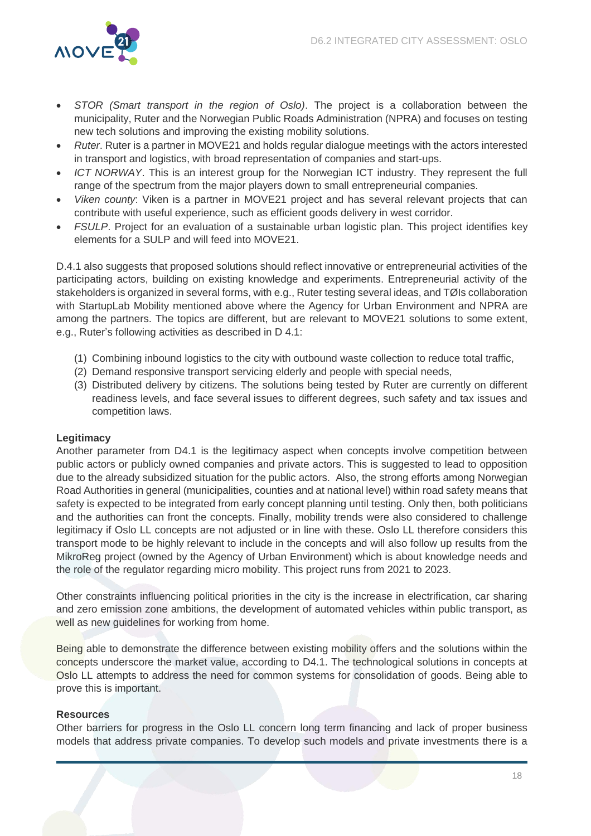

- STOR (Smart transport in the region of Oslo). The project is a collaboration between the municipality, Ruter and the Norwegian Public Roads Administration (NPRA) and focuses on testing new tech solutions and improving the existing mobility solutions.
- Ruter. Ruter is a partner in MOVE21 and holds regular dialogue meetings with the actors interested in transport and logistics, with broad representation of companies and start-ups.
- ICT NORWAY. This is an interest group for the Norwegian ICT industry. They represent the full range of the spectrum from the major players down to small entrepreneurial companies.
- Viken county: Viken is a partner in MOVE21 project and has several relevant projects that can contribute with useful experience, such as efficient goods delivery in west corridor.
- FSULP. Project for an evaluation of a sustainable urban logistic plan. This project identifies key elements for a SULP and will feed into MOVE21.

D.4.1 also suggests that proposed solutions should reflect innovative or entrepreneurial activities of the participating actors, building on existing knowledge and experiments. Entrepreneurial activity of the stakeholders is organized in several forms, with e.g., Ruter testing several ideas, and TØIs collaboration with StartupLab Mobility mentioned above where the Agency for Urban Environment and NPRA are among the partners. The topics are different, but are relevant to MOVE21 solutions to some extent, e.g., Ruter's following activities as described in D 4.1:

- (1) Combining inbound logistics to the city with outbound waste collection to reduce total traffic,
- (2) Demand responsive transport servicing elderly and people with special needs,
- (3) Distributed delivery by citizens. The solutions being tested by Ruter are currently on different readiness levels, and face several issues to different degrees, such safety and tax issues and competition laws.

#### **Legitimacy**

Another parameter from D4.1 is the legitimacy aspect when concepts involve competition between public actors or publicly owned companies and private actors. This is suggested to lead to opposition due to the already subsidized situation for the public actors. Also, the strong efforts among Norwegian Road Authorities in general (municipalities, counties and at national level) within road safety means that safety is expected to be integrated from early concept planning until testing. Only then, both politicians and the authorities can front the concepts. Finally, mobility trends were also considered to challenge legitimacy if Oslo LL concepts are not adjusted or in line with these. Oslo LL therefore considers this transport mode to be highly relevant to include in the concepts and will also follow up results from the MikroReg project (owned by the Agency of Urban Environment) which is about knowledge needs and the role of the regulator regarding micro mobility. This project runs from 2021 to 2023.

Other constraints influencing political priorities in the city is the increase in electrification, car sharing and zero emission zone ambitions, the development of automated vehicles within public transport, as well as new guidelines for working from home.

Being able to demonstrate the difference between existing mobility offers and the solutions within the concepts underscore the market value, according to D4.1. The technological solutions in concepts at Oslo LL attempts to address the need for common systems for consolidation of goods. Being able to prove this is important.

#### **Resources**

Other barriers for progress in the Oslo LL concern long term financing and lack of proper business models that address private companies. To develop such models and private investments there is a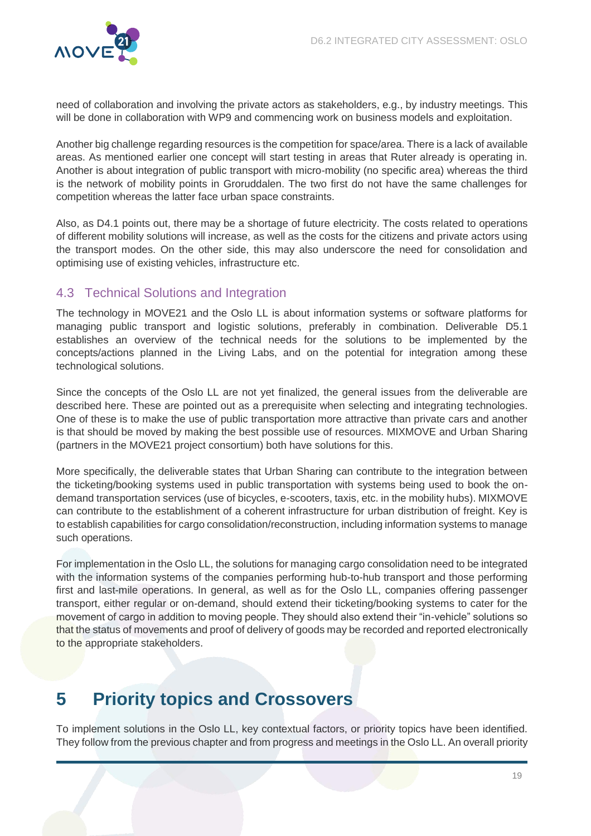

need of collaboration and involving the private actors as stakeholders, e.g., by industry meetings. This will be done in collaboration with WP9 and commencing work on business models and exploitation.

Another big challenge regarding resources is the competition for space/area. There is a lack of available areas. As mentioned earlier one concept will start testing in areas that Ruter already is operating in. Another is about integration of public transport with micro-mobility (no specific area) whereas the third is the network of mobility points in Groruddalen. The two first do not have the same challenges for competition whereas the latter face urban space constraints.

Also, as D4.1 points out, there may be a shortage of future electricity. The costs related to operations of different mobility solutions will increase, as well as the costs for the citizens and private actors using the transport modes. On the other side, this may also underscore the need for consolidation and optimising use of existing vehicles, infrastructure etc.

#### <span id="page-19-0"></span>4.3 Technical Solutions and Integration

The technology in MOVE21 and the Oslo LL is about information systems or software platforms for managing public transport and logistic solutions, preferably in combination. Deliverable D5.1 establishes an overview of the technical needs for the solutions to be implemented by the concepts/actions planned in the Living Labs, and on the potential for integration among these technological solutions.

Since the concepts of the Oslo LL are not yet finalized, the general issues from the deliverable are described here. These are pointed out as a prerequisite when selecting and integrating technologies. One of these is to make the use of public transportation more attractive than private cars and another is that should be moved by making the best possible use of resources. MIXMOVE and Urban Sharing (partners in the MOVE21 project consortium) both have solutions for this.

More specifically, the deliverable states that Urban Sharing can contribute to the integration between the ticketing/booking systems used in public transportation with systems being used to book the ondemand transportation services (use of bicycles, e-scooters, taxis, etc. in the mobility hubs). MIXMOVE can contribute to the establishment of a coherent infrastructure for urban distribution of freight. Key is to establish capabilities for cargo consolidation/reconstruction, including information systems to manage such operations.

For implementation in the Oslo LL, the solutions for managing cargo consolidation need to be integrated with the information systems of the companies performing hub-to-hub transport and those performing first and last-mile operations. In general, as well as for the Oslo LL, companies offering passenger transport, either regular or on-demand, should extend their ticketing/booking systems to cater for the movement of cargo in addition to moving people. They should also extend their "in-vehicle" solutions so that the status of movements and proof of delivery of goods may be recorded and reported electronically to the appropriate stakeholders.

### <span id="page-19-1"></span>**5 Priority topics and Crossovers**

To implement solutions in the Oslo LL, key contextual factors, or priority topics have been identified. They follow from the previous chapter and from progress and meetings in the Oslo LL. An overall priority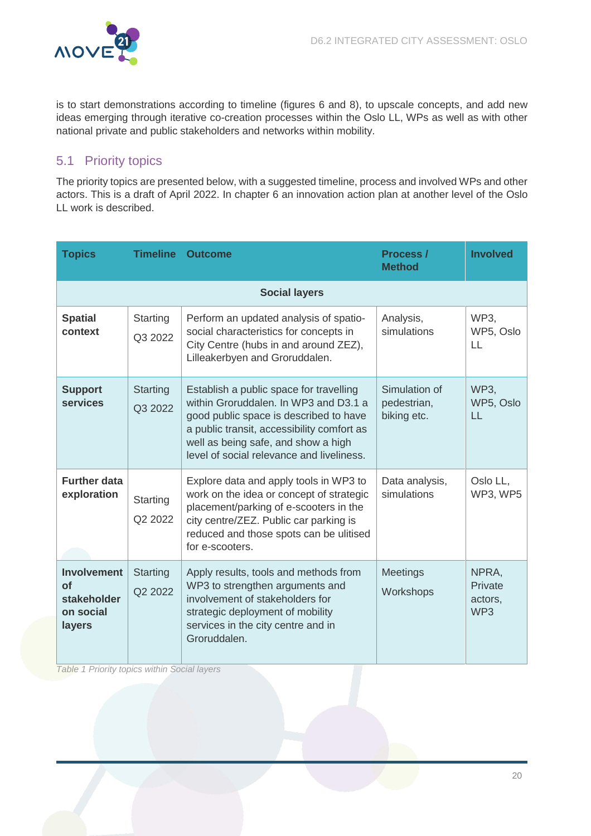

is to start demonstrations according to timeline (figures 6 and 8), to upscale concepts, and add new ideas emerging through iterative co-creation processes within the Oslo LL, WPs as well as with other national private and public stakeholders and networks within mobility.

#### <span id="page-20-0"></span>5.1 Priority topics

The priority topics are presented below, with a suggested timeline, process and involved WPs and other actors. This is a draft of April 2022. In chapter 6 an innovation action plan at another level of the Oslo LL work is described.

| <b>Topics</b>                                                         | <b>Timeline</b>            | <b>Outcome</b>                                                                                                                                                                                                                                               | Process /<br><b>Method</b>                  | <b>Involved</b>                    |  |  |  |  |  |  |
|-----------------------------------------------------------------------|----------------------------|--------------------------------------------------------------------------------------------------------------------------------------------------------------------------------------------------------------------------------------------------------------|---------------------------------------------|------------------------------------|--|--|--|--|--|--|
|                                                                       | <b>Social layers</b>       |                                                                                                                                                                                                                                                              |                                             |                                    |  |  |  |  |  |  |
| <b>Spatial</b><br>context                                             | Starting<br>Q3 2022        | Perform an updated analysis of spatio-<br>social characteristics for concepts in<br>City Centre (hubs in and around ZEZ),<br>Lilleakerbyen and Groruddalen.                                                                                                  | Analysis,<br>simulations                    | WP3,<br>WP5, Oslo<br>LL            |  |  |  |  |  |  |
| <b>Support</b><br><b>services</b>                                     | <b>Starting</b><br>Q3 2022 | Establish a public space for travelling<br>within Groruddalen. In WP3 and D3.1 a<br>good public space is described to have<br>a public transit, accessibility comfort as<br>well as being safe, and show a high<br>level of social relevance and liveliness. | Simulation of<br>pedestrian,<br>biking etc. | <b>WP3,</b><br>WP5, Oslo<br>LL     |  |  |  |  |  |  |
| <b>Further data</b><br>exploration                                    | Starting<br>Q2 2022        | Explore data and apply tools in WP3 to<br>work on the idea or concept of strategic<br>placement/parking of e-scooters in the<br>city centre/ZEZ. Public car parking is<br>reduced and those spots can be ulitised<br>for e-scooters.                         | Data analysis,<br>simulations               | Oslo LL,<br><b>WP3, WP5</b>        |  |  |  |  |  |  |
| <b>Involvement</b><br><b>of</b><br>stakeholder<br>on social<br>layers | <b>Starting</b><br>Q2 2022 | Apply results, tools and methods from<br>WP3 to strengthen arguments and<br>involvement of stakeholders for<br>strategic deployment of mobility<br>services in the city centre and in<br>Groruddalen.                                                        | <b>Meetings</b><br>Workshops                | NPRA,<br>Private<br>actors,<br>WP3 |  |  |  |  |  |  |

<span id="page-20-1"></span>Table 1 Priority topics within Social layers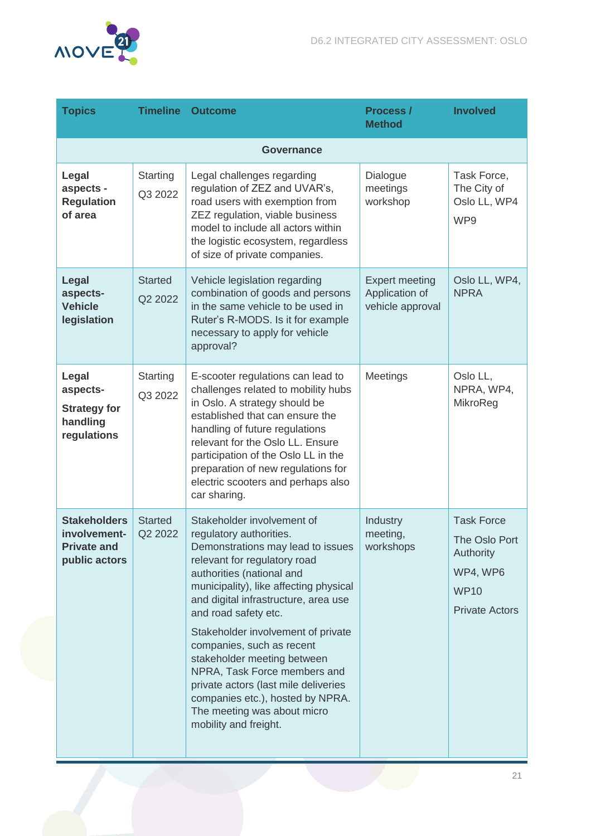

| <b>Topics</b>                                                              | <b>Timeline</b>           | <b>Outcome</b>                                                                                                                                                                                                                                                                                                                                                                                                                                                                                                                          | <b>Process /</b><br><b>Method</b>                           | <b>Involved</b>                                                                                     |
|----------------------------------------------------------------------------|---------------------------|-----------------------------------------------------------------------------------------------------------------------------------------------------------------------------------------------------------------------------------------------------------------------------------------------------------------------------------------------------------------------------------------------------------------------------------------------------------------------------------------------------------------------------------------|-------------------------------------------------------------|-----------------------------------------------------------------------------------------------------|
|                                                                            |                           | <b>Governance</b>                                                                                                                                                                                                                                                                                                                                                                                                                                                                                                                       |                                                             |                                                                                                     |
| Legal<br>aspects -<br><b>Regulation</b><br>of area                         | Starting<br>Q3 2022       | Legal challenges regarding<br>regulation of ZEZ and UVAR's,<br>road users with exemption from<br>ZEZ regulation, viable business<br>model to include all actors within<br>the logistic ecosystem, regardless<br>of size of private companies.                                                                                                                                                                                                                                                                                           | Dialogue<br>meetings<br>workshop                            | Task Force,<br>The City of<br>Oslo LL, WP4<br>WP9                                                   |
| Legal<br>aspects-<br><b>Vehicle</b><br>legislation                         | <b>Started</b><br>Q2 2022 | Vehicle legislation regarding<br>combination of goods and persons<br>in the same vehicle to be used in<br>Ruter's R-MODS. Is it for example<br>necessary to apply for vehicle<br>approval?                                                                                                                                                                                                                                                                                                                                              | <b>Expert meeting</b><br>Application of<br>vehicle approval | Oslo LL, WP4,<br><b>NPRA</b>                                                                        |
| Legal<br>aspects-<br><b>Strategy for</b><br>handling<br>regulations        | Starting<br>Q3 2022       | E-scooter regulations can lead to<br>challenges related to mobility hubs<br>in Oslo. A strategy should be<br>established that can ensure the<br>handling of future regulations<br>relevant for the Oslo LL. Ensure<br>participation of the Oslo LL in the<br>preparation of new regulations for<br>electric scooters and perhaps also<br>car sharing.                                                                                                                                                                                   | Meetings                                                    | Oslo LL,<br>NPRA, WP4,<br>MikroReg                                                                  |
| <b>Stakeholders</b><br>involvement-<br><b>Private and</b><br>public actors | <b>Started</b><br>Q2 2022 | Stakeholder involvement of<br>regulatory authorities.<br>Demonstrations may lead to issues<br>relevant for regulatory road<br>authorities (national and<br>municipality), like affecting physical<br>and digital infrastructure, area use<br>and road safety etc.<br>Stakeholder involvement of private<br>companies, such as recent<br>stakeholder meeting between<br>NPRA, Task Force members and<br>private actors (last mile deliveries<br>companies etc.), hosted by NPRA.<br>The meeting was about micro<br>mobility and freight. | Industry<br>meeting,<br>workshops                           | <b>Task Force</b><br>The Oslo Port<br>Authority<br>WP4, WP6<br><b>WP10</b><br><b>Private Actors</b> |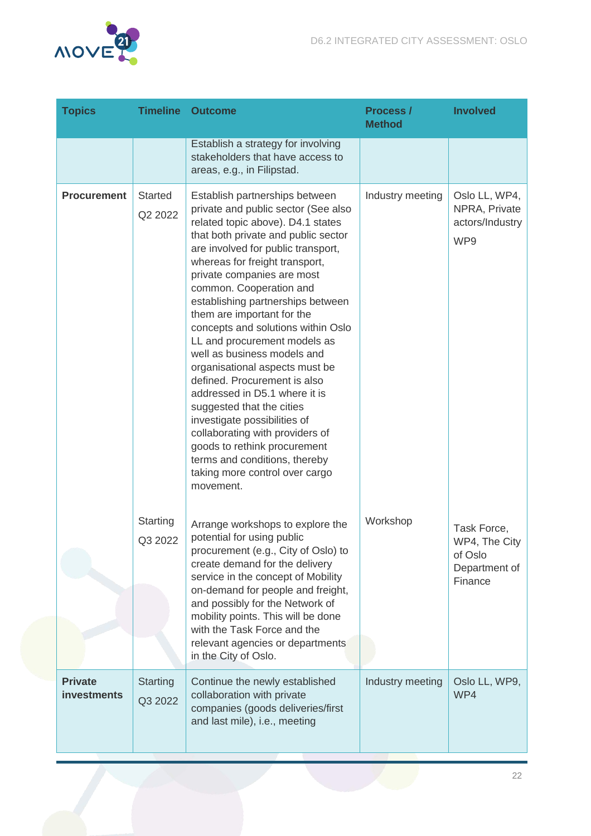

| <b>Topics</b>                        | <b>Timeline</b>           | <b>Outcome</b>                                                                                                                                                                                                                                                                                                                                                                                                                                                                                                                                                                                                                                                                                                                                                                | Process /<br><b>Method</b> | <b>Involved</b>                                                     |
|--------------------------------------|---------------------------|-------------------------------------------------------------------------------------------------------------------------------------------------------------------------------------------------------------------------------------------------------------------------------------------------------------------------------------------------------------------------------------------------------------------------------------------------------------------------------------------------------------------------------------------------------------------------------------------------------------------------------------------------------------------------------------------------------------------------------------------------------------------------------|----------------------------|---------------------------------------------------------------------|
|                                      |                           | Establish a strategy for involving<br>stakeholders that have access to<br>areas, e.g., in Filipstad.                                                                                                                                                                                                                                                                                                                                                                                                                                                                                                                                                                                                                                                                          |                            |                                                                     |
| <b>Procurement</b>                   | <b>Started</b><br>Q2 2022 | Establish partnerships between<br>private and public sector (See also<br>related topic above). D4.1 states<br>that both private and public sector<br>are involved for public transport,<br>whereas for freight transport,<br>private companies are most<br>common. Cooperation and<br>establishing partnerships between<br>them are important for the<br>concepts and solutions within Oslo<br>LL and procurement models as<br>well as business models and<br>organisational aspects must be<br>defined. Procurement is also<br>addressed in D5.1 where it is<br>suggested that the cities<br>investigate possibilities of<br>collaborating with providers of<br>goods to rethink procurement<br>terms and conditions, thereby<br>taking more control over cargo<br>movement. | Industry meeting           | Oslo LL, WP4,<br>NPRA, Private<br>actors/Industry<br>WP9            |
|                                      | Starting<br>Q3 2022       | Arrange workshops to explore the<br>potential for using public<br>procurement (e.g., City of Oslo) to<br>create demand for the delivery<br>service in the concept of Mobility<br>on-demand for people and freight,<br>and possibly for the Network of<br>mobility points. This will be done<br>with the Task Force and the<br>relevant agencies or departments<br>in the City of Oslo.                                                                                                                                                                                                                                                                                                                                                                                        | Workshop                   | Task Force,<br>WP4, The City<br>of Oslo<br>Department of<br>Finance |
| <b>Private</b><br><b>investments</b> | Starting<br>Q3 2022       | Continue the newly established<br>collaboration with private<br>companies (goods deliveries/first<br>and last mile), i.e., meeting                                                                                                                                                                                                                                                                                                                                                                                                                                                                                                                                                                                                                                            | Industry meeting           | Oslo LL, WP9,<br>WP4                                                |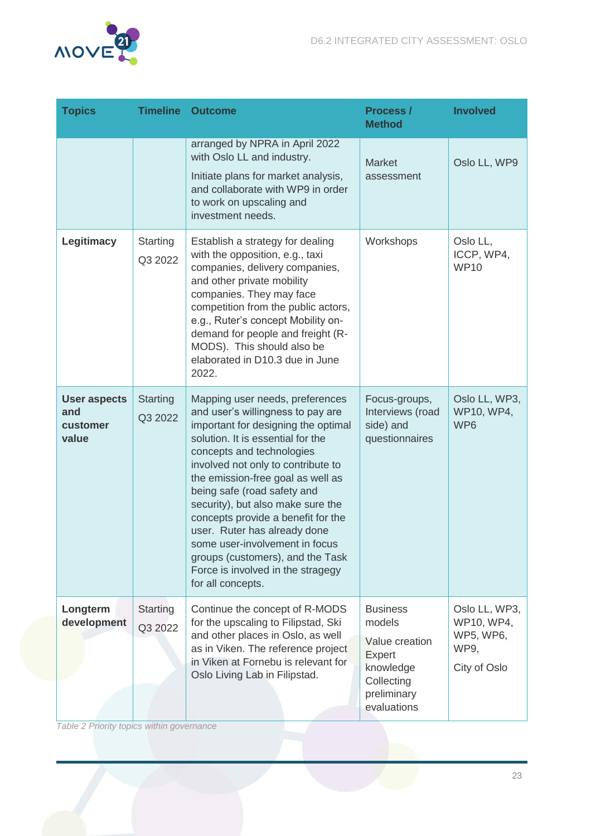

| <b>Topics</b>                                   | <b>Timeline</b>            | <b>Outcome</b>                                                                                                                                                                                                                                                                                                                                                                                                                                                                                                                     | <b>Process /</b><br><b>Method</b>                                                                              | <b>Involved</b>                                                         |
|-------------------------------------------------|----------------------------|------------------------------------------------------------------------------------------------------------------------------------------------------------------------------------------------------------------------------------------------------------------------------------------------------------------------------------------------------------------------------------------------------------------------------------------------------------------------------------------------------------------------------------|----------------------------------------------------------------------------------------------------------------|-------------------------------------------------------------------------|
|                                                 |                            | arranged by NPRA in April 2022<br>with Oslo LL and industry.<br>Initiate plans for market analysis,<br>and collaborate with WP9 in order<br>to work on upscaling and<br>investment needs.                                                                                                                                                                                                                                                                                                                                          | <b>Market</b><br>assessment                                                                                    | Oslo LL, WP9                                                            |
| Legitimacy                                      | Starting<br>Q3 2022        | Establish a strategy for dealing<br>with the opposition, e.g., taxi<br>companies, delivery companies,<br>and other private mobility<br>companies. They may face<br>competition from the public actors,<br>e.g., Ruter's concept Mobility on-<br>demand for people and freight (R-<br>MODS). This should also be<br>elaborated in D10.3 due in June<br>2022.                                                                                                                                                                        | Workshops                                                                                                      | Oslo LL,<br>ICCP, WP4,<br><b>WP10</b>                                   |
| <b>User aspects</b><br>and<br>customer<br>value | Starting<br>Q3 2022        | Mapping user needs, preferences<br>and user's willingness to pay are<br>important for designing the optimal<br>solution. It is essential for the<br>concepts and technologies<br>involved not only to contribute to<br>the emission-free goal as well as<br>being safe (road safety and<br>security), but also make sure the<br>concepts provide a benefit for the<br>user. Ruter has already done<br>some user-involvement in focus<br>groups (customers), and the Task<br>Force is involved in the stragegy<br>for all concepts. | Focus-groups,<br>Interviews (road<br>side) and<br>questionnaires                                               | Oslo LL, WP3,<br>WP10, WP4,<br>WP <sub>6</sub>                          |
| Longterm<br>development                         | <b>Starting</b><br>Q3 2022 | Continue the concept of R-MODS<br>for the upscaling to Filipstad, Ski<br>and other places in Oslo, as well<br>as in Viken. The reference project<br>in Viken at Fornebu is relevant for<br>Oslo Living Lab in Filipstad.                                                                                                                                                                                                                                                                                                           | <b>Business</b><br>models<br>Value creation<br>Expert<br>knowledge<br>Collecting<br>preliminary<br>evaluations | Oslo LL, WP3,<br>WP10, WP4,<br>WP5, WP6,<br><b>WP9.</b><br>City of Oslo |

<span id="page-23-0"></span>Table 2 Priority topics within governance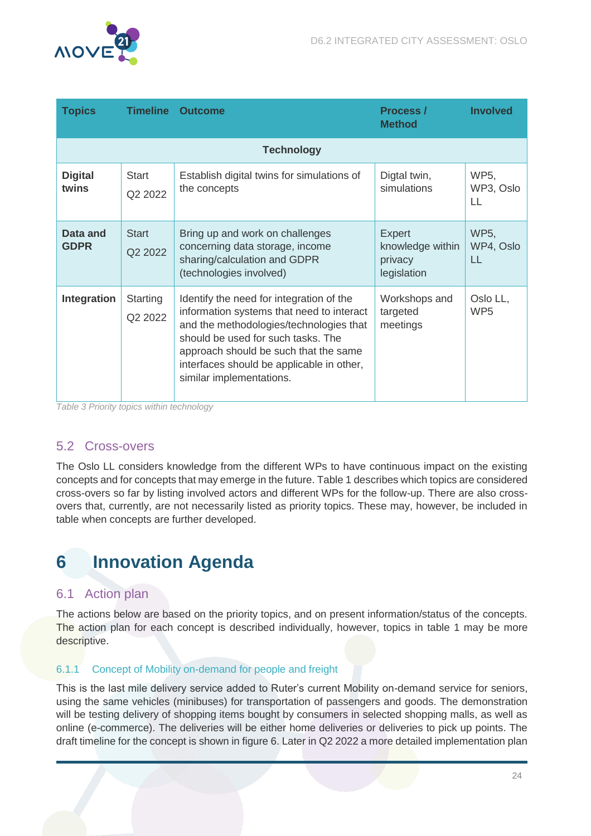

| <b>Topics</b>           | <b>Timeline</b>         | <b>Outcome</b>                                                                                                                                                                                                                                                                           | Process /<br><b>Method</b>                           | <b>Involved</b>                |  |
|-------------------------|-------------------------|------------------------------------------------------------------------------------------------------------------------------------------------------------------------------------------------------------------------------------------------------------------------------------------|------------------------------------------------------|--------------------------------|--|
|                         |                         | <b>Technology</b>                                                                                                                                                                                                                                                                        |                                                      |                                |  |
| <b>Digital</b><br>twins | Start<br>Q2 2022        | Establish digital twins for simulations of<br>the concepts                                                                                                                                                                                                                               | Digtal twin,<br>simulations                          | <b>WP5,</b><br>WP3, Oslo<br>LL |  |
| Data and<br><b>GDPR</b> | <b>Start</b><br>Q2 2022 | Bring up and work on challenges<br>concerning data storage, income<br>sharing/calculation and GDPR<br>(technologies involved)                                                                                                                                                            | Expert<br>knowledge within<br>privacy<br>legislation | <b>WP5,</b><br>WP4, Oslo<br>LL |  |
| Integration             | Starting<br>Q2 2022     | Identify the need for integration of the<br>information systems that need to interact<br>and the methodologies/technologies that<br>should be used for such tasks. The<br>approach should be such that the same<br>interfaces should be applicable in other,<br>similar implementations. | Workshops and<br>targeted<br>meetings                | Oslo LL,<br>WP <sub>5</sub>    |  |

<span id="page-24-4"></span>Table 3 Priority topics within technology

#### <span id="page-24-0"></span>5.2 Cross-overs

The Oslo LL considers knowledge from the different WPs to have continuous impact on the existing concepts and for concepts that may emerge in the future. Table 1 describes which topics are considered cross-overs so far by listing involved actors and different WPs for the follow-up. There are also crossovers that, currently, are not necessarily listed as priority topics. These may, however, be included in table when concepts are further developed.

### <span id="page-24-1"></span>**6 Innovation Agenda**

#### <span id="page-24-2"></span>6.1 Action plan

The actions below are based on the priority topics, and on present information/status of the concepts. The action plan for each concept is described individually, however, topics in table 1 may be more descriptive.

#### <span id="page-24-3"></span>6.1.1 Concept of Mobility on-demand for people and freight

This is the last mile delivery service added to Ruter's current Mobility on-demand service for seniors, using the same vehicles (minibuses) for transportation of passengers and goods. The demonstration will be testing delivery of shopping items bought by consumers in selected shopping malls, as well as online (e-commerce). The deliveries will be either home deliveries or deliveries to pick up points. The draft timeline for the concept is shown in figure 6. Later in Q2 2022 a more detailed implementation plan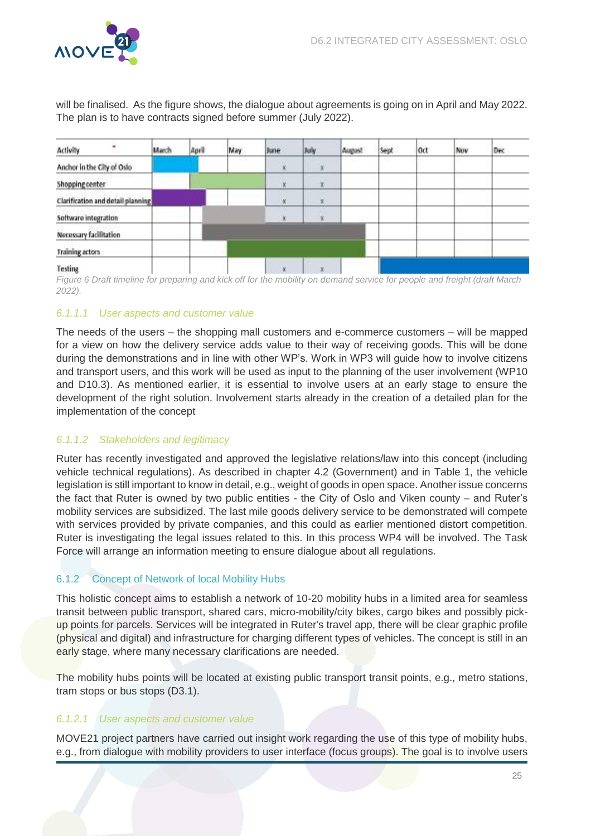

will be finalised. As the figure shows, the dialogue about agreements is going on in April and May 2022. The plan is to have contracts signed before summer (July 2022).

| ۰<br>Activity                            | March | April | May | June.       | <b>July</b>  | August | Sept | 0ct | Nov | Dec |
|------------------------------------------|-------|-------|-----|-------------|--------------|--------|------|-----|-----|-----|
| Anchor in the City of Oslo               |       |       |     | - si        | X.           |        | w    |     |     |     |
| Shopping center                          |       |       |     |             | X            |        |      |     |     |     |
| <b>Clarification and detail planning</b> |       |       |     | ×           | ù.           |        |      |     |     |     |
| Software integration                     |       |       |     |             | X.           |        |      |     |     |     |
| Necessary facilitation                   |       |       |     |             |              |        |      |     |     |     |
| Training actors                          |       |       |     |             |              |        |      |     |     |     |
| <b>Testing</b>                           |       |       |     | $\mathbf k$ | $\mathbf{x}$ |        |      |     |     |     |

<span id="page-25-1"></span>Figure 6 Draft timeline for preparing and kick off for the mobility on demand service for people and freight (draft March 2022).

#### 6.1.1.1 User aspects and customer value

The needs of the users – the shopping mall customers and e-commerce customers – will be mapped for a view on how the delivery service adds value to their way of receiving goods. This will be done during the demonstrations and in line with other WP's. Work in WP3 will guide how to involve citizens and transport users, and this work will be used as input to the planning of the user involvement (WP10 and D10.3). As mentioned earlier, it is essential to involve users at an early stage to ensure the development of the right solution. Involvement starts already in the creation of a detailed plan for the implementation of the concept

#### 6.1.1.2 Stakeholders and legitimacy

Ruter has recently investigated and approved the legislative relations/law into this concept (including vehicle technical regulations). As described in chapter 4.2 (Government) and in Table 1, the vehicle legislation is still important to know in detail, e.g., weight of goods in open space. Another issue concerns the fact that Ruter is owned by two public entities - the City of Oslo and Viken county – and Ruter's mobility services are subsidized. The last mile goods delivery service to be demonstrated will compete with services provided by private companies, and this could as earlier mentioned distort competition. Ruter is investigating the legal issues related to this. In this process WP4 will be involved. The Task Force will arrange an information meeting to ensure dialogue about all regulations.

#### <span id="page-25-0"></span>6.1.2 Concept of Network of local Mobility Hubs

This holistic concept aims to establish a network of 10-20 mobility hubs in a limited area for seamless transit between public transport, shared cars, micro-mobility/city bikes, cargo bikes and possibly pickup points for parcels. Services will be integrated in Ruter's travel app, there will be clear graphic profile (physical and digital) and infrastructure for charging different types of vehicles. The concept is still in an early stage, where many necessary clarifications are needed.

The mobility hubs points will be located at existing public transport transit points, e.g., metro stations, tram stops or bus stops (D3.1).

#### 6.1.2.1 User aspects and customer value

MOVE21 project partners have carried out insight work regarding the use of this type of mobility hubs, e.g., from dialogue with mobility providers to user interface (focus groups). The goal is to involve users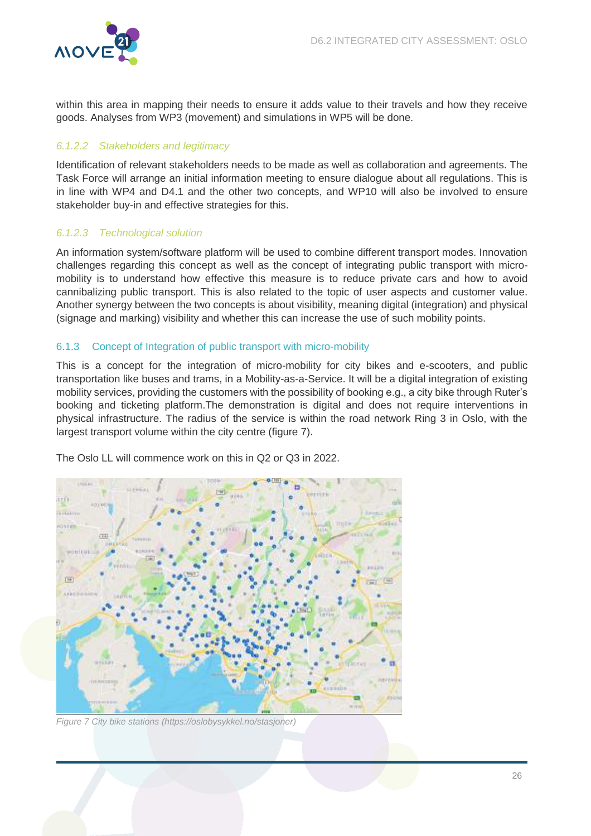

within this area in mapping their needs to ensure it adds value to their travels and how they receive goods. Analyses from WP3 (movement) and simulations in WP5 will be done.

#### 6.1.2.2 Stakeholders and legitimacy

Identification of relevant stakeholders needs to be made as well as collaboration and agreements. The Task Force will arrange an initial information meeting to ensure dialogue about all regulations. This is in line with WP4 and D4.1 and the other two concepts, and WP10 will also be involved to ensure stakeholder buy-in and effective strategies for this.

#### 6.1.2.3 Technological solution

An information system/software platform will be used to combine different transport modes. Innovation challenges regarding this concept as well as the concept of integrating public transport with micromobility is to understand how effective this measure is to reduce private cars and how to avoid cannibalizing public transport. This is also related to the topic of user aspects and customer value. Another synergy between the two concepts is about visibility, meaning digital (integration) and physical (signage and marking) visibility and whether this can increase the use of such mobility points.

#### <span id="page-26-0"></span>6.1.3 Concept of Integration of public transport with micro-mobility

This is a concept for the integration of micro-mobility for city bikes and e-scooters, and public transportation like buses and trams, in a Mobility-as-a-Service. It will be a digital integration of existing mobility services, providing the customers with the possibility of booking e.g., a city bike through Ruter's booking and ticketing platform.The demonstration is digital and does not require interventions in physical infrastructure. The radius of the service is within the road network Ring 3 in Oslo, with the largest transport volume within the city centre (figure 7).

The Oslo LL will commence work on this in Q2 or Q3 in 2022.



<span id="page-26-1"></span>Figure 7 City bike stations (https://oslobysykkel.no/stasjoner)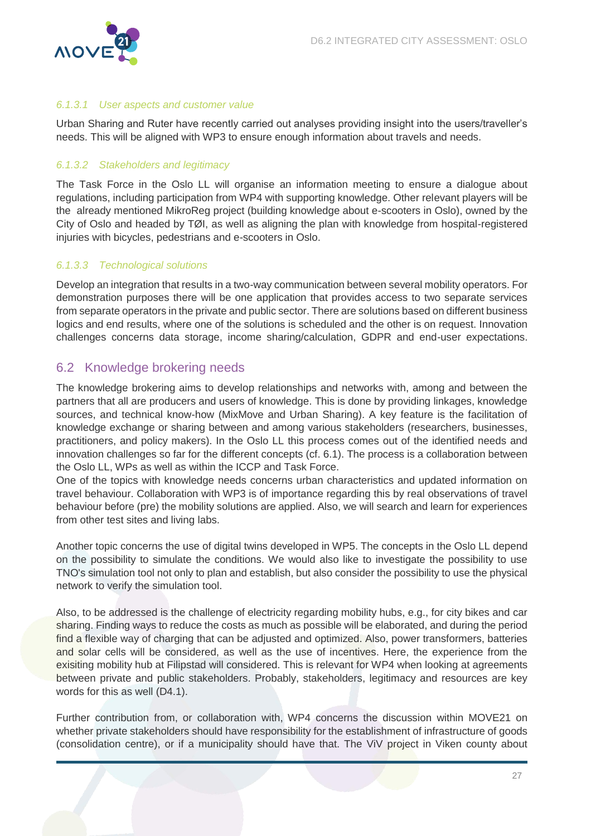

#### 6.1.3.1 User aspects and customer value

Urban Sharing and Ruter have recently carried out analyses providing insight into the users/traveller's needs. This will be aligned with WP3 to ensure enough information about travels and needs.

#### 6.1.3.2 Stakeholders and legitimacy

The Task Force in the Oslo LL will organise an information meeting to ensure a dialogue about regulations, including participation from WP4 with supporting knowledge. Other relevant players will be the already mentioned MikroReg project (building knowledge about e-scooters in Oslo), owned by the City of Oslo and headed by TØI, as well as aligning the plan with knowledge from hospital-registered injuries with bicycles, pedestrians and e-scooters in Oslo.

#### 6.1.3.3 Technological solutions

Develop an integration that results in a two-way communication between several mobility operators. For demonstration purposes there will be one application that provides access to two separate services from separate operators in the private and public sector. There are solutions based on different business logics and end results, where one of the solutions is scheduled and the other is on request. Innovation challenges concerns data storage, income sharing/calculation, GDPR and end-user expectations.

#### <span id="page-27-0"></span>6.2 Knowledge brokering needs

The knowledge brokering aims to develop relationships and networks with, among and between the partners that all are producers and users of knowledge. This is done by providing linkages, knowledge sources, and technical know-how (MixMove and Urban Sharing). A key feature is the facilitation of knowledge exchange or sharing between and among various stakeholders (researchers, businesses, practitioners, and policy makers). In the Oslo LL this process comes out of the identified needs and innovation challenges so far for the different concepts (cf. 6.1). The process is a collaboration between the Oslo LL, WPs as well as within the ICCP and Task Force.

One of the topics with knowledge needs concerns urban characteristics and updated information on travel behaviour. Collaboration with WP3 is of importance regarding this by real observations of travel behaviour before (pre) the mobility solutions are applied. Also, we will search and learn for experiences from other test sites and living labs.

Another topic concerns the use of digital twins developed in WP5. The concepts in the Oslo LL depend on the possibility to simulate the conditions. We would also like to investigate the possibility to use TNO's simulation tool not only to plan and establish, but also consider the possibility to use the physical network to verify the simulation tool.

Also, to be addressed is the challenge of electricity regarding mobility hubs, e.g., for city bikes and car sharing. Finding ways to reduce the costs as much as possible will be elaborated, and during the period find a flexible way of charging that can be adjusted and optimized. Also, power transformers, batteries and solar cells will be considered, as well as the use of incentives. Here, the experience from the exisiting mobility hub at Filipstad will considered. This is relevant for WP4 when looking at agreements between private and public stakeholders. Probably, stakeholders, legitimacy and resources are key words for this as well (D4.1).

Further contribution from, or collaboration with, WP4 concerns the discussion within MOVE21 on whether private stakeholders should have responsibility for the establishment of infrastructure of goods (consolidation centre), or if a municipality should have that. The ViV project in Viken county about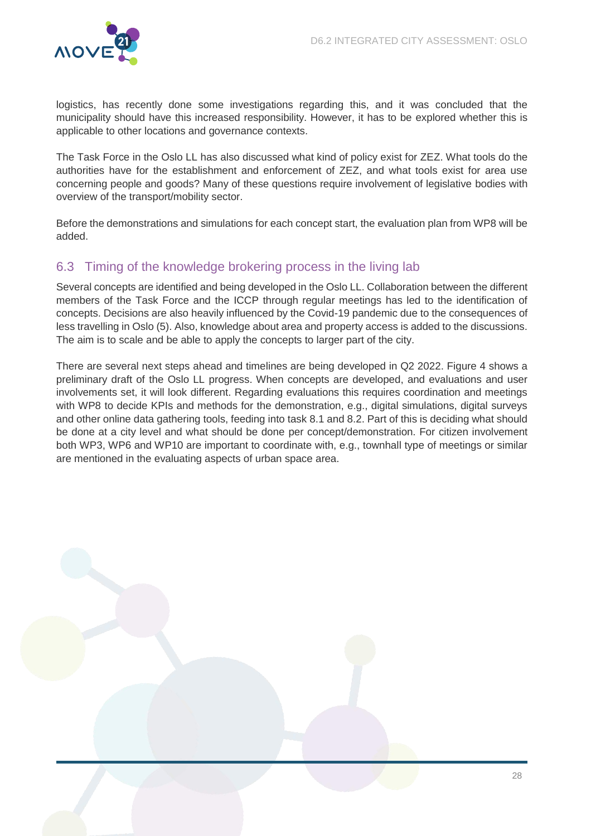

logistics, has recently done some investigations regarding this, and it was concluded that the municipality should have this increased responsibility. However, it has to be explored whether this is applicable to other locations and governance contexts.

The Task Force in the Oslo LL has also discussed what kind of policy exist for ZEZ. What tools do the authorities have for the establishment and enforcement of ZEZ, and what tools exist for area use concerning people and goods? Many of these questions require involvement of legislative bodies with overview of the transport/mobility sector.

Before the demonstrations and simulations for each concept start, the evaluation plan from WP8 will be added.

#### <span id="page-28-0"></span>6.3 Timing of the knowledge brokering process in the living lab

Several concepts are identified and being developed in the Oslo LL. Collaboration between the different members of the Task Force and the ICCP through regular meetings has led to the identification of concepts. Decisions are also heavily influenced by the Covid-19 pandemic due to the consequences of less travelling in Oslo (5). Also, knowledge about area and property access is added to the discussions. The aim is to scale and be able to apply the concepts to larger part of the city.

There are several next steps ahead and timelines are being developed in Q2 2022. Figure 4 shows a preliminary draft of the Oslo LL progress. When concepts are developed, and evaluations and user involvements set, it will look different. Regarding evaluations this requires coordination and meetings with WP8 to decide KPIs and methods for the demonstration, e.g., digital simulations, digital surveys and other online data gathering tools, feeding into task 8.1 and 8.2. Part of this is deciding what should be done at a city level and what should be done per concept/demonstration. For citizen involvement both WP3, WP6 and WP10 are important to coordinate with, e.g., townhall type of meetings or similar are mentioned in the evaluating aspects of urban space area.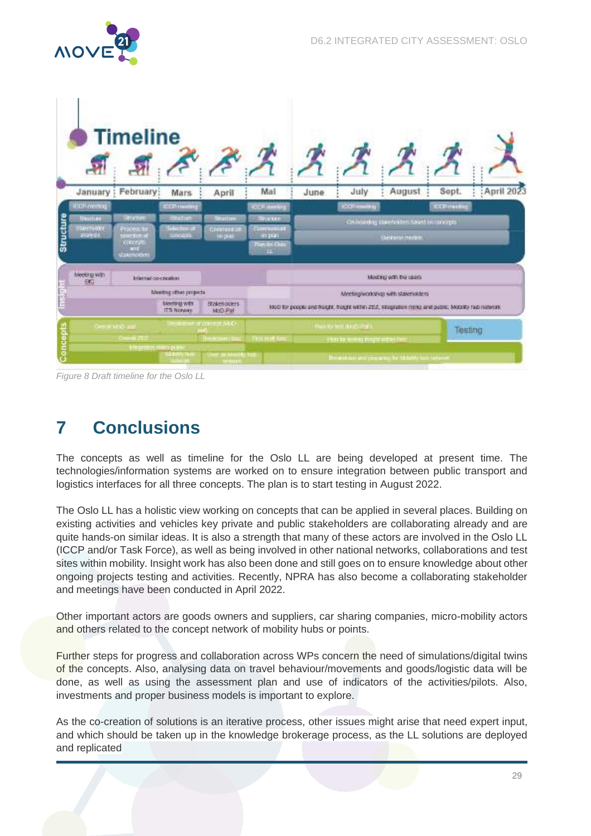

|                                          | <b>Timeline</b>                                                    |                                                       |                                         |                                                                                    |                                                                    |                                                                                                    |                                   |                  |              |  |
|------------------------------------------|--------------------------------------------------------------------|-------------------------------------------------------|-----------------------------------------|------------------------------------------------------------------------------------|--------------------------------------------------------------------|----------------------------------------------------------------------------------------------------|-----------------------------------|------------------|--------------|--|
| January                                  | February:                                                          | Mars                                                  | April                                   | Mai                                                                                | June                                                               | July                                                                                               | August                            | Sept.            | : April 2023 |  |
| <b>COFANNIE</b>                          | <b>EVERY</b>                                                       | <b>ICON Healthy</b>                                   |                                         | <b>ICCF meeting</b>                                                                |                                                                    | <b>KXS-models</b>                                                                                  |                                   | <b>CCP-miles</b> |              |  |
| <b>Thurton</b><br>ltoicheabh<br>Iaraintí | <b>PIDOOL NET</b><br>beler firm of<br>connege<br>and<br>Valencioni | <b>Talliter</b><br><b>Martian at</b><br>cookin        | <b>Shartom</b><br>Criminal<br>100 (344) | <b>CROSSIC</b><br>Communicati<br>an pran<br><b>Fligh Rd Oaks</b><br><b>Parried</b> | Co-boarding storeheaters habed on concepts<br><b>Steiners</b> more |                                                                                                    |                                   |                  |              |  |
| Meeting with<br>EKI                      | Internal co-creation                                               |                                                       | Mixiong with the users                  |                                                                                    |                                                                    |                                                                                                    |                                   |                  |              |  |
|                                          |                                                                    | Meeting other projects                                |                                         |                                                                                    |                                                                    |                                                                                                    | Meetingworkshop with stakeholders |                  |              |  |
|                                          |                                                                    | <b>Meeting with</b><br><b>IT'S NONAY</b>              | <b>Stakeholders</b><br>MoD Pal          |                                                                                    |                                                                    | MOD for people and hardin, hourn within 22:2, singnature minia and public, Mobility hab materials. |                                   |                  |              |  |
| Corpus MoD and                           |                                                                    | <b>Electronic and content (GEO)</b>                   |                                         |                                                                                    | <b>Plan Krimt Holzi-Pall</b>                                       |                                                                                                    |                                   |                  | Testing      |  |
|                                          | Change 212                                                         | <b>IRELACCORRENTE</b><br><b><i>STERNOOFFERING</i></b> |                                         | <b>First molt from</b><br>Please for reviewing disrupture woman trans-             |                                                                    |                                                                                                    |                                   |                  |              |  |

<span id="page-29-1"></span>Figure 8 Draft timeline for the Oslo LL

### <span id="page-29-0"></span>**7 Conclusions**

The concepts as well as timeline for the Oslo LL are being developed at present time. The technologies/information systems are worked on to ensure integration between public transport and logistics interfaces for all three concepts. The plan is to start testing in August 2022.

The Oslo LL has a holistic view working on concepts that can be applied in several places. Building on existing activities and vehicles key private and public stakeholders are collaborating already and are quite hands-on similar ideas. It is also a strength that many of these actors are involved in the Oslo LL (ICCP and/or Task Force), as well as being involved in other national networks, collaborations and test sites within mobility. Insight work has also been done and still goes on to ensure knowledge about other ongoing projects testing and activities. Recently, NPRA has also become a collaborating stakeholder and meetings have been conducted in April 2022.

Other important actors are goods owners and suppliers, car sharing companies, micro-mobility actors and others related to the concept network of mobility hubs or points.

Further steps for progress and collaboration across WPs concern the need of simulations/digital twins of the concepts. Also, analysing data on travel behaviour/movements and goods/logistic data will be done, as well as using the assessment plan and use of indicators of the activities/pilots. Also, investments and proper business models is important to explore.

As the co-creation of solutions is an iterative process, other issues might arise that need expert input, and which should be taken up in the knowledge brokerage process, as the LL solutions are deployed and replicated